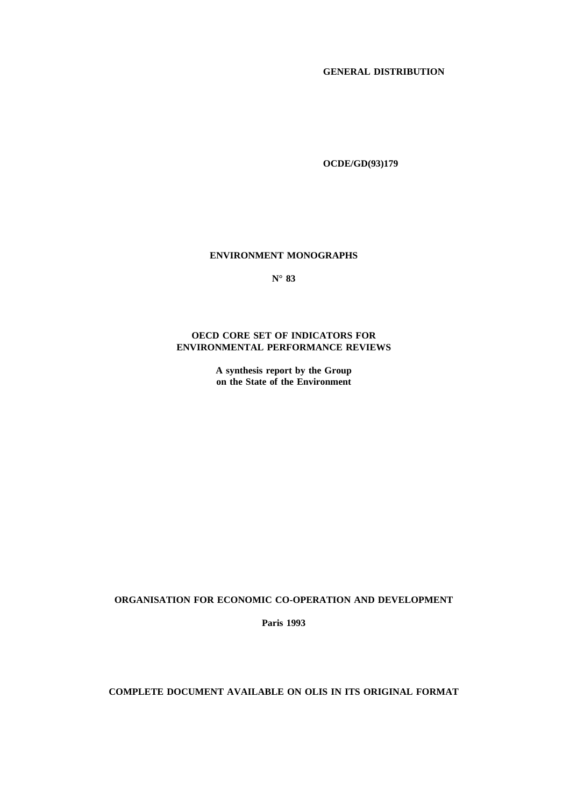# **GENERAL DISTRIBUTION**

**OCDE/GD(93)179**

## **ENVIRONMENT MONOGRAPHS**

**N° 83**

## **OECD CORE SET OF INDICATORS FOR ENVIRONMENTAL PERFORMANCE REVIEWS**

**A synthesis report by the Group on the State of the Environment**

# **ORGANISATION FOR ECONOMIC CO-OPERATION AND DEVELOPMENT**

**Paris 1993**

# **COMPLETE DOCUMENT AVAILABLE ON OLIS IN ITS ORIGINAL FORMAT**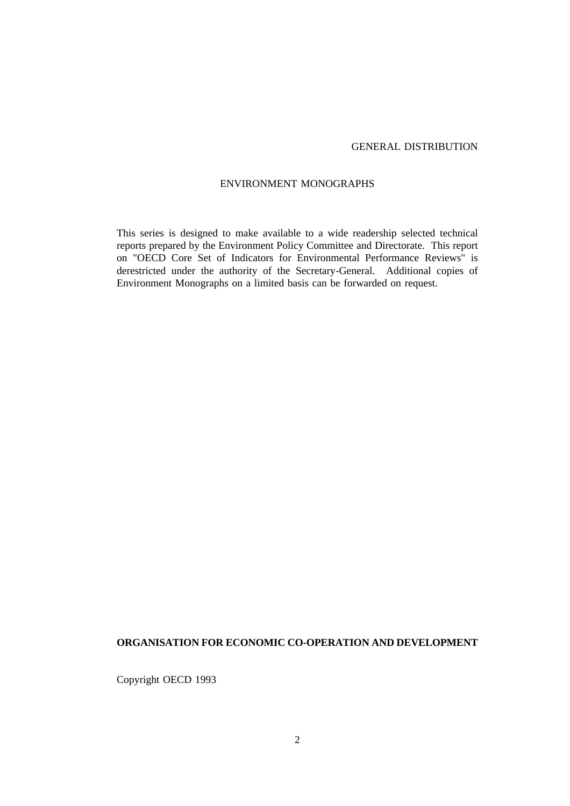# GENERAL DISTRIBUTION

# ENVIRONMENT MONOGRAPHS

This series is designed to make available to a wide readership selected technical reports prepared by the Environment Policy Committee and Directorate. This report on "OECD Core Set of Indicators for Environmental Performance Reviews" is derestricted under the authority of the Secretary-General. Additional copies of Environment Monographs on a limited basis can be forwarded on request.

## **ORGANISATION FOR ECONOMIC CO-OPERATION AND DEVELOPMENT**

Copyright OECD 1993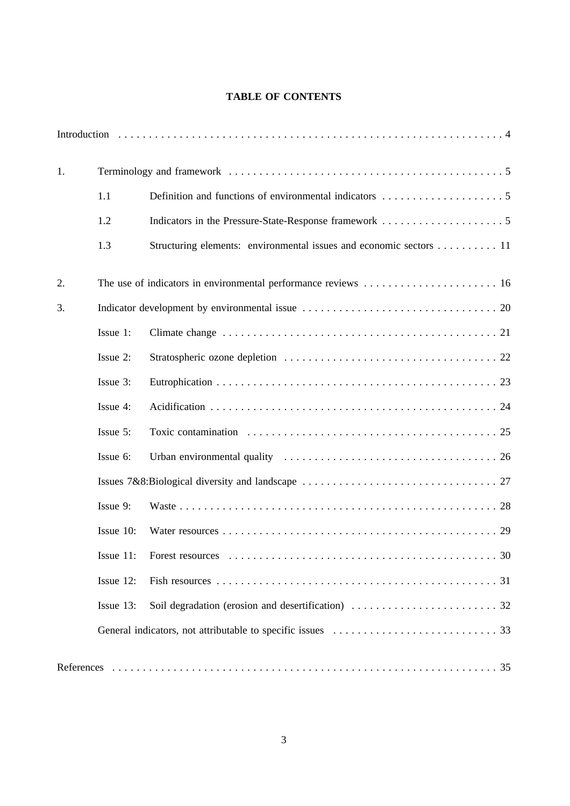# **TABLE OF CONTENTS**

| 1. |           |                                                                    |
|----|-----------|--------------------------------------------------------------------|
|    | 1.1       |                                                                    |
|    | 1.2       |                                                                    |
|    | 1.3       | Structuring elements: environmental issues and economic sectors 11 |
| 2. |           |                                                                    |
| 3. |           |                                                                    |
|    | Issue 1:  |                                                                    |
|    | Issue 2:  |                                                                    |
|    | Issue 3:  |                                                                    |
|    | Issue 4:  |                                                                    |
|    | Issue 5:  |                                                                    |
|    | Issue 6:  |                                                                    |
|    |           |                                                                    |
|    | Issue 9:  |                                                                    |
|    | Issue 10: |                                                                    |
|    |           |                                                                    |
|    | Issue 12: |                                                                    |
|    | Issue 13: |                                                                    |
|    |           |                                                                    |
|    |           |                                                                    |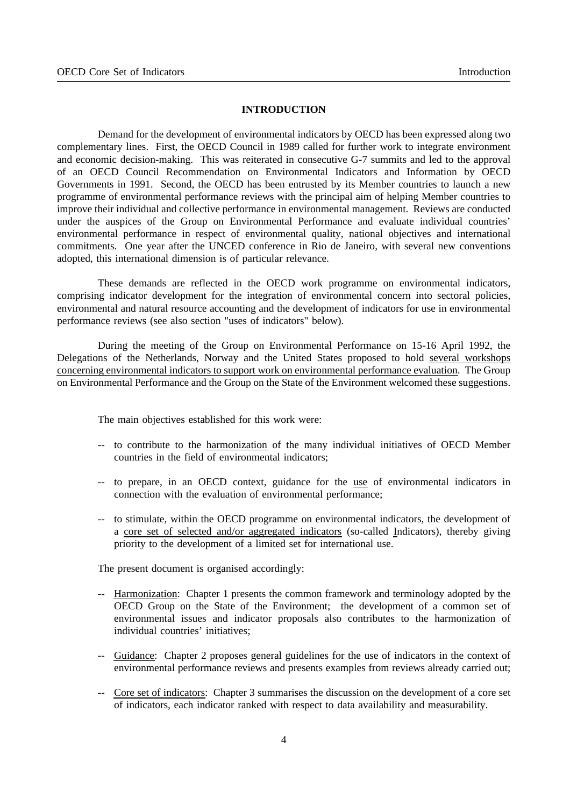#### **INTRODUCTION**

Demand for the development of environmental indicators by OECD has been expressed along two complementary lines. First, the OECD Council in 1989 called for further work to integrate environment and economic decision-making. This was reiterated in consecutive G-7 summits and led to the approval of an OECD Council Recommendation on Environmental Indicators and Information by OECD Governments in 1991. Second, the OECD has been entrusted by its Member countries to launch a new programme of environmental performance reviews with the principal aim of helping Member countries to improve their individual and collective performance in environmental management. Reviews are conducted under the auspices of the Group on Environmental Performance and evaluate individual countries' environmental performance in respect of environmental quality, national objectives and international commitments. One year after the UNCED conference in Rio de Janeiro, with several new conventions adopted, this international dimension is of particular relevance.

These demands are reflected in the OECD work programme on environmental indicators, comprising indicator development for the integration of environmental concern into sectoral policies, environmental and natural resource accounting and the development of indicators for use in environmental performance reviews (see also section "uses of indicators" below).

During the meeting of the Group on Environmental Performance on 15-16 April 1992, the Delegations of the Netherlands, Norway and the United States proposed to hold several workshops concerning environmental indicators to support work on environmental performance evaluation. The Group on Environmental Performance and the Group on the State of the Environment welcomed these suggestions.

The main objectives established for this work were:

- -- to contribute to the harmonization of the many individual initiatives of OECD Member countries in the field of environmental indicators;
- -- to prepare, in an OECD context, guidance for the use of environmental indicators in connection with the evaluation of environmental performance;
- -- to stimulate, within the OECD programme on environmental indicators, the development of a core set of selected and/or aggregated indicators (so-called Indicators), thereby giving priority to the development of a limited set for international use.

The present document is organised accordingly:

- -- Harmonization: Chapter 1 presents the common framework and terminology adopted by the OECD Group on the State of the Environment; the development of a common set of environmental issues and indicator proposals also contributes to the harmonization of individual countries' initiatives;
- -- Guidance: Chapter 2 proposes general guidelines for the use of indicators in the context of environmental performance reviews and presents examples from reviews already carried out;
- -- Core set of indicators: Chapter 3 summarises the discussion on the development of a core set of indicators, each indicator ranked with respect to data availability and measurability.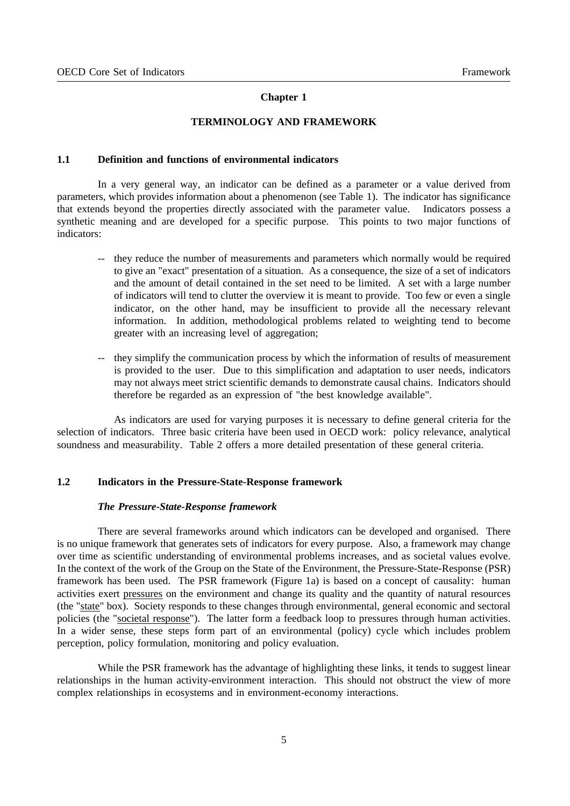#### **Chapter 1**

## **TERMINOLOGY AND FRAMEWORK**

## **1.1 Definition and functions of environmental indicators**

In a very general way, an indicator can be defined as a parameter or a value derived from parameters, which provides information about a phenomenon (see Table 1). The indicator has significance that extends beyond the properties directly associated with the parameter value. Indicators possess a synthetic meaning and are developed for a specific purpose. This points to two major functions of indicators:

- -- they reduce the number of measurements and parameters which normally would be required to give an "exact" presentation of a situation. As a consequence, the size of a set of indicators and the amount of detail contained in the set need to be limited. A set with a large number of indicators will tend to clutter the overview it is meant to provide. Too few or even a single indicator, on the other hand, may be insufficient to provide all the necessary relevant information. In addition, methodological problems related to weighting tend to become greater with an increasing level of aggregation;
- they simplify the communication process by which the information of results of measurement is provided to the user. Due to this simplification and adaptation to user needs, indicators may not always meet strict scientific demands to demonstrate causal chains. Indicators should therefore be regarded as an expression of "the best knowledge available".

As indicators are used for varying purposes it is necessary to define general criteria for the selection of indicators. Three basic criteria have been used in OECD work: policy relevance, analytical soundness and measurability. Table 2 offers a more detailed presentation of these general criteria.

## **1.2 Indicators in the Pressure-State-Response framework**

#### *The Pressure-State-Response framework*

There are several frameworks around which indicators can be developed and organised. There is no unique framework that generates sets of indicators for every purpose. Also, a framework may change over time as scientific understanding of environmental problems increases, and as societal values evolve. In the context of the work of the Group on the State of the Environment, the Pressure-State-Response (PSR) framework has been used. The PSR framework (Figure 1a) is based on a concept of causality: human activities exert pressures on the environment and change its quality and the quantity of natural resources (the "state" box). Society responds to these changes through environmental, general economic and sectoral policies (the "societal response"). The latter form a feedback loop to pressures through human activities. In a wider sense, these steps form part of an environmental (policy) cycle which includes problem perception, policy formulation, monitoring and policy evaluation.

While the PSR framework has the advantage of highlighting these links, it tends to suggest linear relationships in the human activity-environment interaction. This should not obstruct the view of more complex relationships in ecosystems and in environment-economy interactions.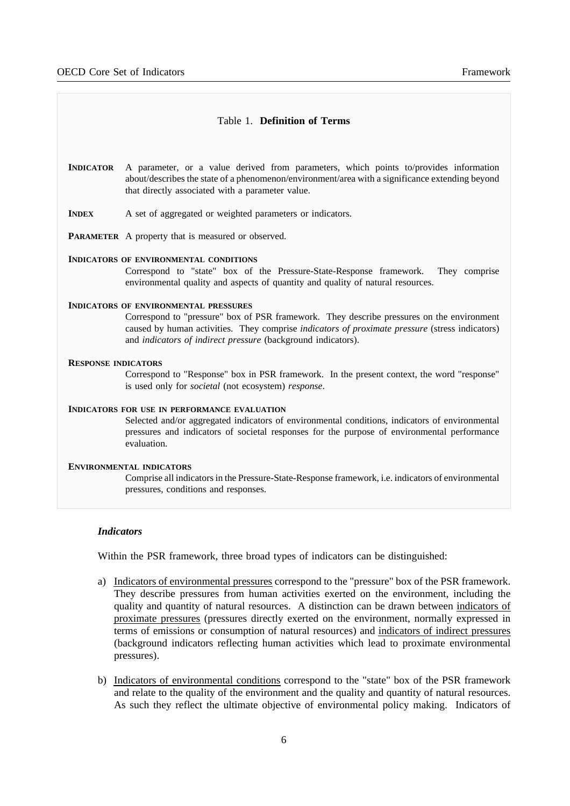## Table 1. **Definition of Terms**

- **INDICATOR** A parameter, or a value derived from parameters, which points to/provides information about/describes the state of a phenomenon/environment/area with a significance extending beyond that directly associated with a parameter value.
- **INDEX** A set of aggregated or weighted parameters or indicators.
- **PARAMETER** A property that is measured or observed.

#### **INDICATORS OF ENVIRONMENTAL CONDITIONS**

Correspond to "state" box of the Pressure-State-Response framework. They comprise environmental quality and aspects of quantity and quality of natural resources.

#### **INDICATORS OF ENVIRONMENTAL PRESSURES**

Correspond to "pressure" box of PSR framework. They describe pressures on the environment caused by human activities. They comprise *indicators of proximate pressure* (stress indicators) and *indicators of indirect pressure* (background indicators).

#### **RESPONSE INDICATORS**

Correspond to "Response" box in PSR framework. In the present context, the word "response" is used only for *societal* (not ecosystem) *response*.

#### **INDICATORS FOR USE IN PERFORMANCE EVALUATION**

Selected and/or aggregated indicators of environmental conditions, indicators of environmental pressures and indicators of societal responses for the purpose of environmental performance evaluation.

#### **ENVIRONMENTAL INDICATORS**

Comprise all indicators in the Pressure-State-Response framework, i.e. indicators of environmental pressures, conditions and responses.

#### *Indicators*

Within the PSR framework, three broad types of indicators can be distinguished:

- a) Indicators of environmental pressures correspond to the "pressure" box of the PSR framework. They describe pressures from human activities exerted on the environment, including the quality and quantity of natural resources. A distinction can be drawn between indicators of proximate pressures (pressures directly exerted on the environment, normally expressed in terms of emissions or consumption of natural resources) and indicators of indirect pressures (background indicators reflecting human activities which lead to proximate environmental pressures).
- b) Indicators of environmental conditions correspond to the "state" box of the PSR framework and relate to the quality of the environment and the quality and quantity of natural resources. As such they reflect the ultimate objective of environmental policy making. Indicators of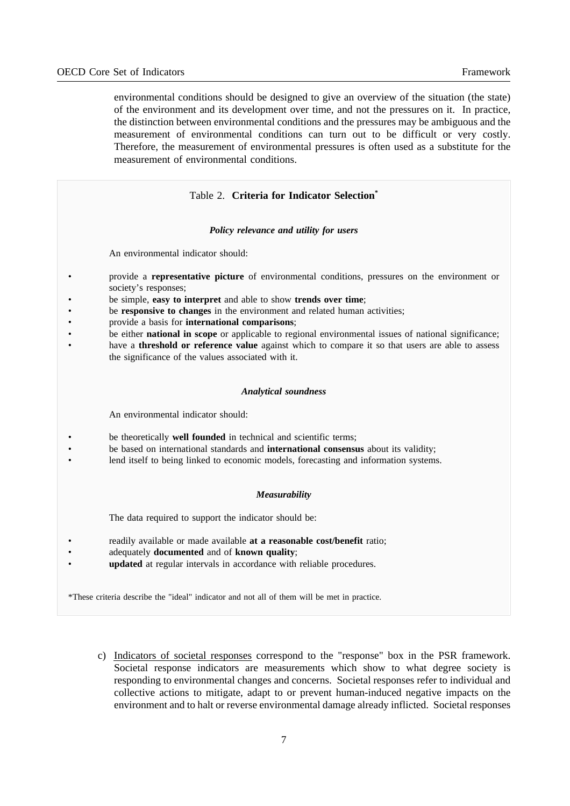environmental conditions should be designed to give an overview of the situation (the state) of the environment and its development over time, and not the pressures on it. In practice, the distinction between environmental conditions and the pressures may be ambiguous and the measurement of environmental conditions can turn out to be difficult or very costly. Therefore, the measurement of environmental pressures is often used as a substitute for the measurement of environmental conditions.

# Table 2. **Criteria for Indicator Selection\***

#### *Policy relevance and utility for users*

An environmental indicator should:

- provide a **representative picture** of environmental conditions, pressures on the environment or society's responses;
- be simple, **easy to interpret** and able to show **trends over time**;
- be **responsive to changes** in the environment and related human activities;
- provide a basis for **international comparisons**;
- be either **national in scope** or applicable to regional environmental issues of national significance;
- have a **threshold or reference value** against which to compare it so that users are able to assess the significance of the values associated with it.

#### *Analytical soundness*

An environmental indicator should:

- be theoretically **well founded** in technical and scientific terms;
- be based on international standards and **international consensus** about its validity;
- lend itself to being linked to economic models, forecasting and information systems.

#### *Measurability*

The data required to support the indicator should be:

- readily available or made available **at a reasonable cost/benefit** ratio;
- adequately **documented** and of **known quality**;
- **updated** at regular intervals in accordance with reliable procedures.

\*These criteria describe the "ideal" indicator and not all of them will be met in practice.

c) Indicators of societal responses correspond to the "response" box in the PSR framework. Societal response indicators are measurements which show to what degree society is responding to environmental changes and concerns. Societal responses refer to individual and collective actions to mitigate, adapt to or prevent human-induced negative impacts on the environment and to halt or reverse environmental damage already inflicted. Societal responses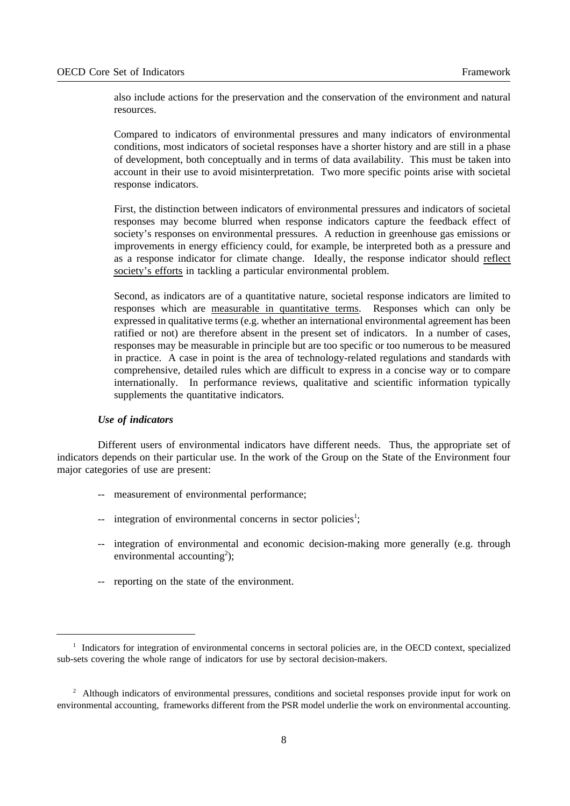also include actions for the preservation and the conservation of the environment and natural resources.

Compared to indicators of environmental pressures and many indicators of environmental conditions, most indicators of societal responses have a shorter history and are still in a phase of development, both conceptually and in terms of data availability. This must be taken into account in their use to avoid misinterpretation. Two more specific points arise with societal response indicators.

First, the distinction between indicators of environmental pressures and indicators of societal responses may become blurred when response indicators capture the feedback effect of society's responses on environmental pressures. A reduction in greenhouse gas emissions or improvements in energy efficiency could, for example, be interpreted both as a pressure and as a response indicator for climate change. Ideally, the response indicator should reflect society's efforts in tackling a particular environmental problem.

Second, as indicators are of a quantitative nature, societal response indicators are limited to responses which are measurable in quantitative terms. Responses which can only be expressed in qualitative terms (e.g. whether an international environmental agreement has been ratified or not) are therefore absent in the present set of indicators. In a number of cases, responses may be measurable in principle but are too specific or too numerous to be measured in practice. A case in point is the area of technology-related regulations and standards with comprehensive, detailed rules which are difficult to express in a concise way or to compare internationally. In performance reviews, qualitative and scientific information typically supplements the quantitative indicators.

## *Use of indicators*

Different users of environmental indicators have different needs. Thus, the appropriate set of indicators depends on their particular use. In the work of the Group on the State of the Environment four major categories of use are present:

- -- measurement of environmental performance;
- -- integration of environmental concerns in sector policies<sup>1</sup>;
- integration of environmental and economic decision-making more generally (e.g. through environmental accounting<sup>2</sup>);
- -- reporting on the state of the environment.

<sup>&</sup>lt;sup>1</sup> Indicators for integration of environmental concerns in sectoral policies are, in the OECD context, specialized sub-sets covering the whole range of indicators for use by sectoral decision-makers.

<sup>&</sup>lt;sup>2</sup> Although indicators of environmental pressures, conditions and societal responses provide input for work on environmental accounting, frameworks different from the PSR model underlie the work on environmental accounting.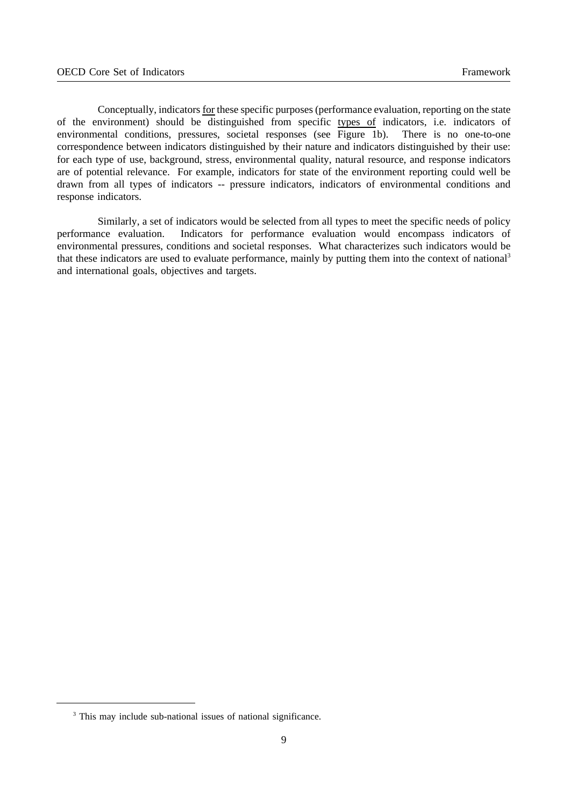Conceptually, indicators for these specific purposes (performance evaluation, reporting on the state of the environment) should be distinguished from specific types of indicators, i.e. indicators of environmental conditions, pressures, societal responses (see Figure 1b). There is no one-to-one correspondence between indicators distinguished by their nature and indicators distinguished by their use: for each type of use, background, stress, environmental quality, natural resource, and response indicators are of potential relevance. For example, indicators for state of the environment reporting could well be drawn from all types of indicators -- pressure indicators, indicators of environmental conditions and response indicators.

Similarly, a set of indicators would be selected from all types to meet the specific needs of policy performance evaluation. Indicators for performance evaluation would encompass indicators of environmental pressures, conditions and societal responses. What characterizes such indicators would be that these indicators are used to evaluate performance, mainly by putting them into the context of national3 and international goals, objectives and targets.

<sup>&</sup>lt;sup>3</sup> This may include sub-national issues of national significance.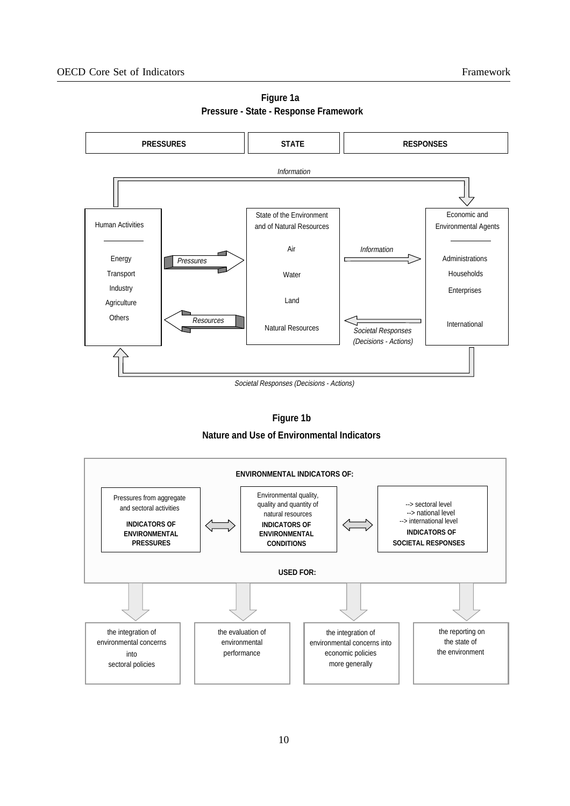

**Figure 1a Pressure - State - Response Framework**

## **Figure 1b**

**Nature and Use of Environmental Indicators**

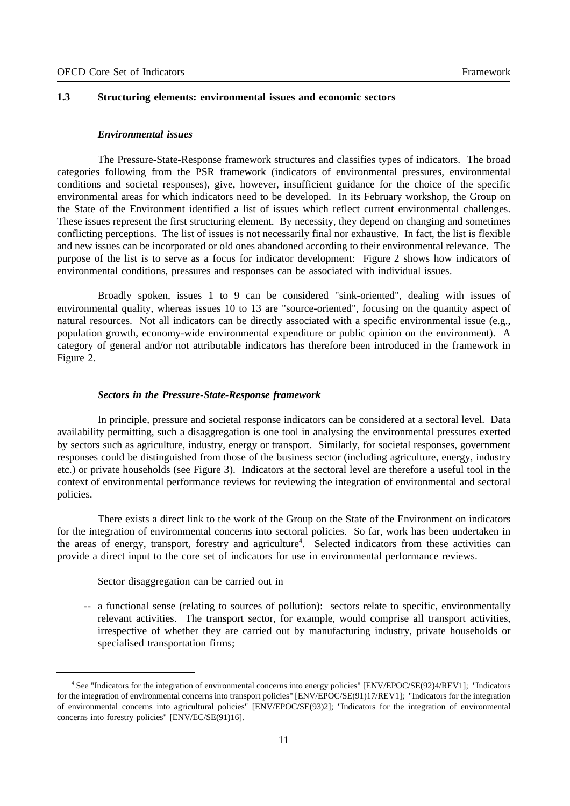## **1.3 Structuring elements: environmental issues and economic sectors**

#### *Environmental issues*

The Pressure-State-Response framework structures and classifies types of indicators. The broad categories following from the PSR framework (indicators of environmental pressures, environmental conditions and societal responses), give, however, insufficient guidance for the choice of the specific environmental areas for which indicators need to be developed. In its February workshop, the Group on the State of the Environment identified a list of issues which reflect current environmental challenges. These issues represent the first structuring element. By necessity, they depend on changing and sometimes conflicting perceptions. The list of issues is not necessarily final nor exhaustive. In fact, the list is flexible and new issues can be incorporated or old ones abandoned according to their environmental relevance. The purpose of the list is to serve as a focus for indicator development: Figure 2 shows how indicators of environmental conditions, pressures and responses can be associated with individual issues.

Broadly spoken, issues 1 to 9 can be considered "sink-oriented", dealing with issues of environmental quality, whereas issues 10 to 13 are "source-oriented", focusing on the quantity aspect of natural resources. Not all indicators can be directly associated with a specific environmental issue (e.g., population growth, economy-wide environmental expenditure or public opinion on the environment). A category of general and/or not attributable indicators has therefore been introduced in the framework in Figure 2.

#### *Sectors in the Pressure-State-Response framework*

In principle, pressure and societal response indicators can be considered at a sectoral level. Data availability permitting, such a disaggregation is one tool in analysing the environmental pressures exerted by sectors such as agriculture, industry, energy or transport. Similarly, for societal responses, government responses could be distinguished from those of the business sector (including agriculture, energy, industry etc.) or private households (see Figure 3). Indicators at the sectoral level are therefore a useful tool in the context of environmental performance reviews for reviewing the integration of environmental and sectoral policies.

There exists a direct link to the work of the Group on the State of the Environment on indicators for the integration of environmental concerns into sectoral policies. So far, work has been undertaken in the areas of energy, transport, forestry and agriculture<sup>4</sup>. Selected indicators from these activities can provide a direct input to the core set of indicators for use in environmental performance reviews.

Sector disaggregation can be carried out in

-- a functional sense (relating to sources of pollution): sectors relate to specific, environmentally relevant activities. The transport sector, for example, would comprise all transport activities, irrespective of whether they are carried out by manufacturing industry, private households or specialised transportation firms;

<sup>4</sup> See "Indicators for the integration of environmental concerns into energy policies" [ENV/EPOC/SE(92)4/REV1]; "Indicators for the integration of environmental concerns into transport policies" [ENV/EPOC/SE(91)17/REV1]; "Indicators for the integration of environmental concerns into agricultural policies" [ENV/EPOC/SE(93)2]; "Indicators for the integration of environmental concerns into forestry policies" [ENV/EC/SE(91)16].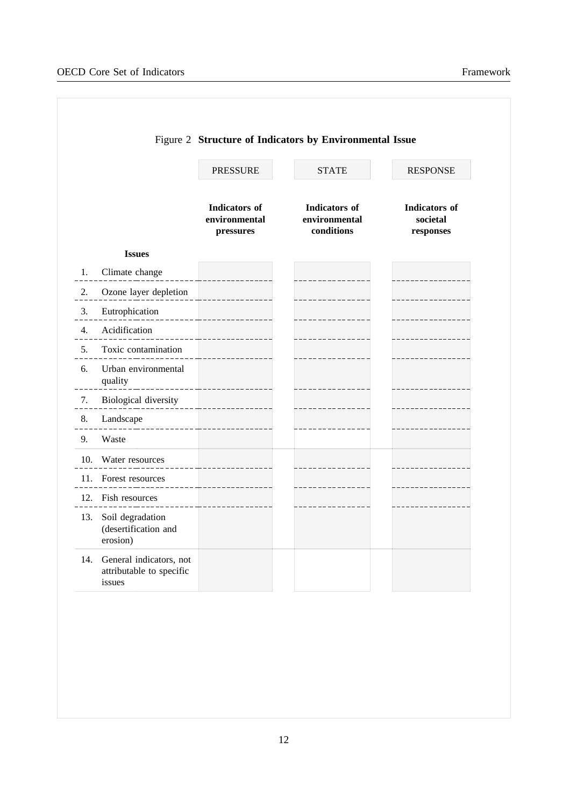|                | Figure 2 Structure of Indicators by Environmental Issue           |                                                    |                                                     |                                               |  |
|----------------|-------------------------------------------------------------------|----------------------------------------------------|-----------------------------------------------------|-----------------------------------------------|--|
|                |                                                                   | <b>PRESSURE</b>                                    | <b>STATE</b><br><b>RESPONSE</b>                     |                                               |  |
|                |                                                                   | <b>Indicators</b> of<br>environmental<br>pressures | <b>Indicators</b> of<br>environmental<br>conditions | <b>Indicators</b> of<br>societal<br>responses |  |
|                | <b>Issues</b>                                                     |                                                    |                                                     |                                               |  |
| 1.             | Climate change                                                    |                                                    |                                                     |                                               |  |
| 2.             | Ozone layer depletion                                             |                                                    |                                                     |                                               |  |
| 3.             | Eutrophication                                                    |                                                    |                                                     |                                               |  |
| $\mathbf{4}$ . | Acidification                                                     |                                                    |                                                     |                                               |  |
| 5.             | Toxic contamination                                               |                                                    |                                                     |                                               |  |
| 6.             | Urban environmental<br>quality                                    |                                                    |                                                     |                                               |  |
| 7.             | Biological diversity                                              |                                                    |                                                     |                                               |  |
| 8.             | Landscape                                                         |                                                    |                                                     |                                               |  |
| 9.             | Waste                                                             |                                                    |                                                     |                                               |  |
|                | 10. Water resources                                               |                                                    |                                                     |                                               |  |
|                | 11. Forest resources                                              |                                                    |                                                     |                                               |  |
|                | 12. Fish resources                                                |                                                    |                                                     |                                               |  |
|                | 13. Soil degradation<br>(desertification and<br>erosion)          |                                                    |                                                     |                                               |  |
|                | 14. General indicators, not<br>attributable to specific<br>issues |                                                    |                                                     |                                               |  |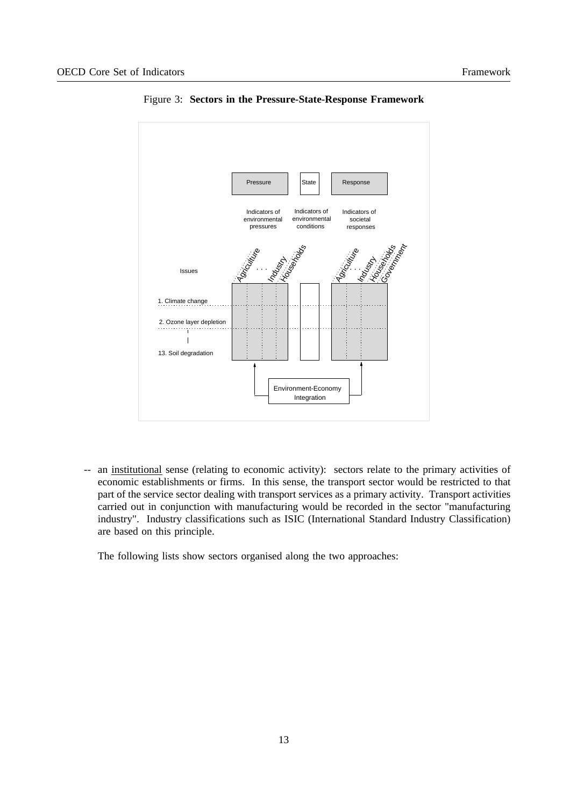

Figure 3: **Sectors in the Pressure-State-Response Framework**

-- an institutional sense (relating to economic activity): sectors relate to the primary activities of economic establishments or firms. In this sense, the transport sector would be restricted to that part of the service sector dealing with transport services as a primary activity. Transport activities carried out in conjunction with manufacturing would be recorded in the sector "manufacturing industry". Industry classifications such as ISIC (International Standard Industry Classification) are based on this principle.

The following lists show sectors organised along the two approaches: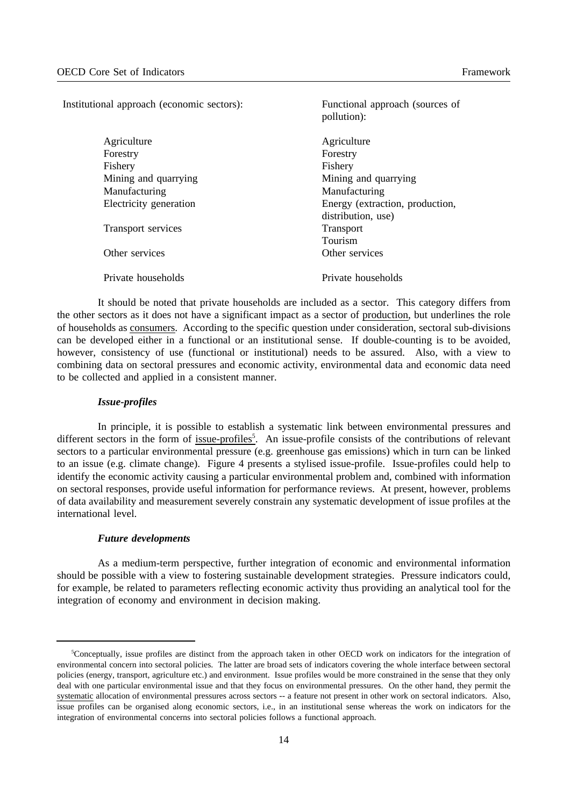Functional approach (sources of

pollution):

Institutional approach (economic sectors):

| Agriculture                                           |
|-------------------------------------------------------|
| Forestry                                              |
| Fishery                                               |
| Mining and quarrying                                  |
| Manufacturing                                         |
| Energy (extraction, production,<br>distribution, use) |
| <b>Transport</b>                                      |
| Tourism                                               |
| Other services                                        |
| Private households                                    |
|                                                       |

It should be noted that private households are included as a sector. This category differs from the other sectors as it does not have a significant impact as a sector of production, but underlines the role of households as consumers. According to the specific question under consideration, sectoral sub-divisions can be developed either in a functional or an institutional sense. If double-counting is to be avoided, however, consistency of use (functional or institutional) needs to be assured. Also, with a view to combining data on sectoral pressures and economic activity, environmental data and economic data need to be collected and applied in a consistent manner.

#### *Issue-profiles*

In principle, it is possible to establish a systematic link between environmental pressures and different sectors in the form of issue-profiles<sup>5</sup>. An issue-profile consists of the contributions of relevant sectors to a particular environmental pressure (e.g. greenhouse gas emissions) which in turn can be linked to an issue (e.g. climate change). Figure 4 presents a stylised issue-profile. Issue-profiles could help to identify the economic activity causing a particular environmental problem and, combined with information on sectoral responses, provide useful information for performance reviews. At present, however, problems of data availability and measurement severely constrain any systematic development of issue profiles at the international level.

## *Future developments*

As a medium-term perspective, further integration of economic and environmental information should be possible with a view to fostering sustainable development strategies. Pressure indicators could, for example, be related to parameters reflecting economic activity thus providing an analytical tool for the integration of economy and environment in decision making.

<sup>&</sup>lt;sup>5</sup>Conceptually, issue profiles are distinct from the approach taken in other OECD work on indicators for the integration of environmental concern into sectoral policies. The latter are broad sets of indicators covering the whole interface between sectoral policies (energy, transport, agriculture etc.) and environment. Issue profiles would be more constrained in the sense that they only deal with one particular environmental issue and that they focus on environmental pressures. On the other hand, they permit the systematic allocation of environmental pressures across sectors -- a feature not present in other work on sectoral indicators. Also, issue profiles can be organised along economic sectors, i.e., in an institutional sense whereas the work on indicators for the integration of environmental concerns into sectoral policies follows a functional approach.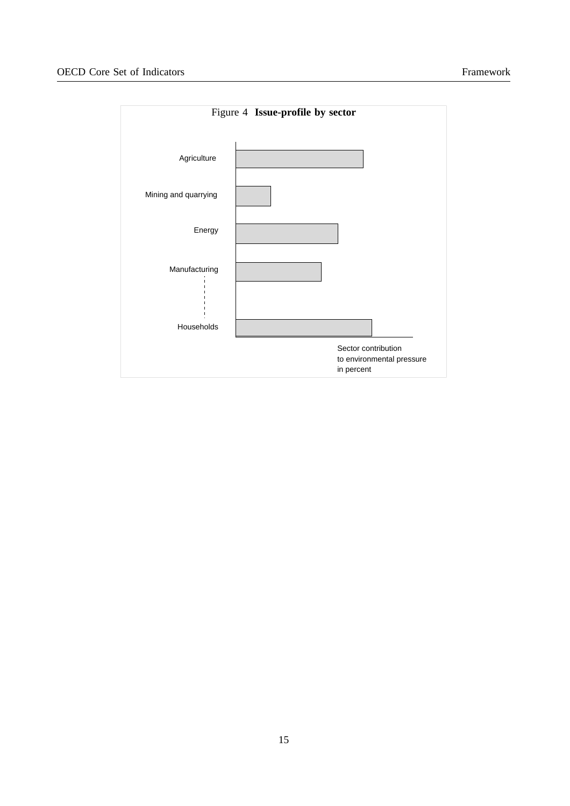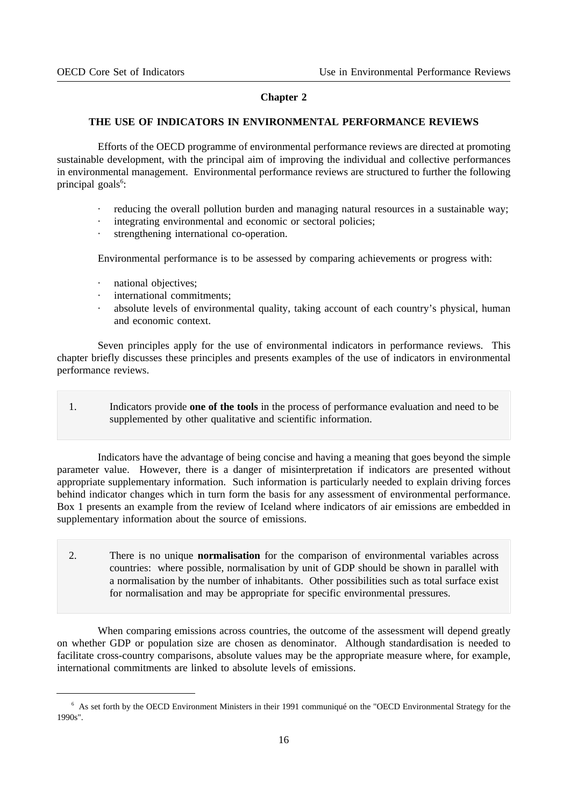## **Chapter 2**

## **THE USE OF INDICATORS IN ENVIRONMENTAL PERFORMANCE REVIEWS**

Efforts of the OECD programme of environmental performance reviews are directed at promoting sustainable development, with the principal aim of improving the individual and collective performances in environmental management. Environmental performance reviews are structured to further the following principal goals<sup>6</sup>:

- reducing the overall pollution burden and managing natural resources in a sustainable way;
- integrating environmental and economic or sectoral policies;
- strengthening international co-operation.

Environmental performance is to be assessed by comparing achievements or progress with:

- national objectives;
- international commitments;
- absolute levels of environmental quality, taking account of each country's physical, human and economic context.

Seven principles apply for the use of environmental indicators in performance reviews. This chapter briefly discusses these principles and presents examples of the use of indicators in environmental performance reviews.

1. Indicators provide **one of the tools** in the process of performance evaluation and need to be supplemented by other qualitative and scientific information.

Indicators have the advantage of being concise and having a meaning that goes beyond the simple parameter value. However, there is a danger of misinterpretation if indicators are presented without appropriate supplementary information. Such information is particularly needed to explain driving forces behind indicator changes which in turn form the basis for any assessment of environmental performance. Box 1 presents an example from the review of Iceland where indicators of air emissions are embedded in supplementary information about the source of emissions.

2. There is no unique **normalisation** for the comparison of environmental variables across countries: where possible, normalisation by unit of GDP should be shown in parallel with a normalisation by the number of inhabitants. Other possibilities such as total surface exist for normalisation and may be appropriate for specific environmental pressures.

When comparing emissions across countries, the outcome of the assessment will depend greatly on whether GDP or population size are chosen as denominator. Although standardisation is needed to facilitate cross-country comparisons, absolute values may be the appropriate measure where, for example, international commitments are linked to absolute levels of emissions.

<sup>&</sup>lt;sup>6</sup> As set forth by the OECD Environment Ministers in their 1991 communiqué on the "OECD Environmental Strategy for the 1990s".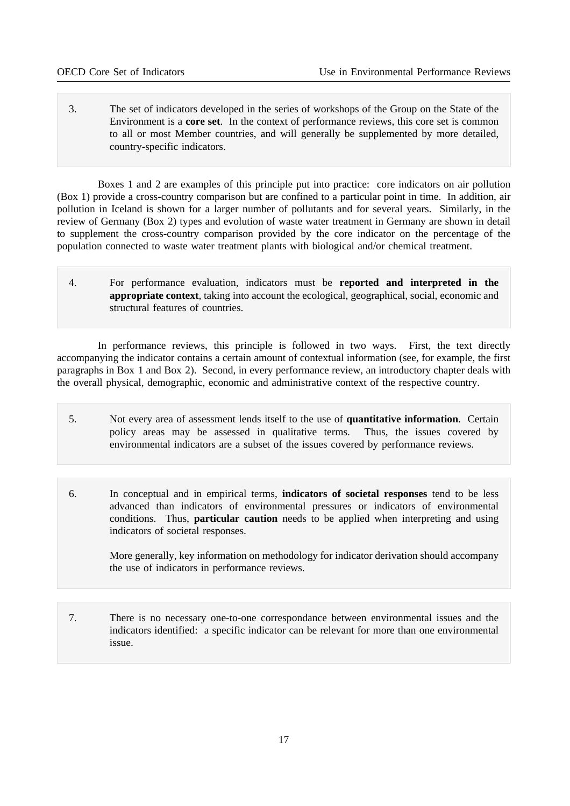3. The set of indicators developed in the series of workshops of the Group on the State of the Environment is a **core set**. In the context of performance reviews, this core set is common to all or most Member countries, and will generally be supplemented by more detailed, country-specific indicators.

Boxes 1 and 2 are examples of this principle put into practice: core indicators on air pollution (Box 1) provide a cross-country comparison but are confined to a particular point in time. In addition, air pollution in Iceland is shown for a larger number of pollutants and for several years. Similarly, in the review of Germany (Box 2) types and evolution of waste water treatment in Germany are shown in detail to supplement the cross-country comparison provided by the core indicator on the percentage of the population connected to waste water treatment plants with biological and/or chemical treatment.

4. For performance evaluation, indicators must be **reported and interpreted in the appropriate context**, taking into account the ecological, geographical, social, economic and structural features of countries.

In performance reviews, this principle is followed in two ways. First, the text directly accompanying the indicator contains a certain amount of contextual information (see, for example, the first paragraphs in Box 1 and Box 2). Second, in every performance review, an introductory chapter deals with the overall physical, demographic, economic and administrative context of the respective country.

- 5. Not every area of assessment lends itself to the use of **quantitative information**. Certain policy areas may be assessed in qualitative terms. Thus, the issues covered by environmental indicators are a subset of the issues covered by performance reviews.
- 6. In conceptual and in empirical terms, **indicators of societal responses** tend to be less advanced than indicators of environmental pressures or indicators of environmental conditions. Thus, **particular caution** needs to be applied when interpreting and using indicators of societal responses.

More generally, key information on methodology for indicator derivation should accompany the use of indicators in performance reviews.

7. There is no necessary one-to-one correspondance between environmental issues and the indicators identified: a specific indicator can be relevant for more than one environmental issue.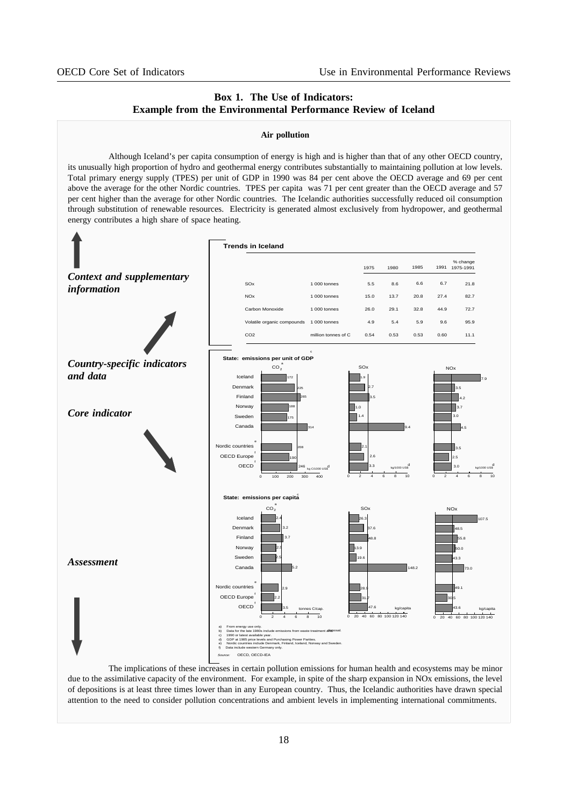## **Box 1. The Use of Indicators: Example from the Environmental Performance Review of Iceland**

#### **Air pollution**

Although Iceland's per capita consumption of energy is high and is higher than that of any other OECD country, its unusually high proportion of hydro and geothermal energy contributes substantially to maintaining pollution at low levels. Total primary energy supply (TPES) per unit of GDP in 1990 was 84 per cent above the OECD average and 69 per cent above the average for the other Nordic countries. TPES per capita was 71 per cent greater than the OECD average and 57 per cent higher than the average for other Nordic countries. The Icelandic authorities successfully reduced oil consumption through substitution of renewable resources. Electricity is generated almost exclusively from hydropower, and geothermal energy contributes a high share of space heating.



The implications of these increases in certain pollution emissions for human health and ecosystems may be minor due to the assimilative capacity of the environment. For example, in spite of the sharp expansion in NOx emissions, the level of depositions is at least three times lower than in any European country. Thus, the Icelandic authorities have drawn special attention to the need to consider pollution concentrations and ambient levels in implementing international commitments.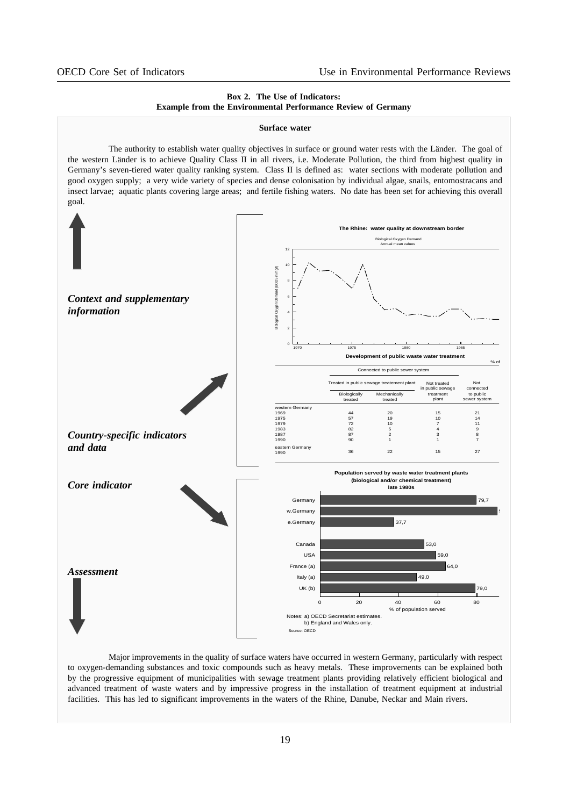#### **Box 2. The Use of Indicators: Example from the Environmental Performance Review of Germany**

#### **Surface water**

The authority to establish water quality objectives in surface or ground water rests with the Länder. The goal of the western Länder is to achieve Quality Class II in all rivers, i.e. Moderate Pollution, the third from highest quality in Germany's seven-tiered water quality ranking system. Class II is defined as: water sections with moderate pollution and good oxygen supply; a very wide variety of species and dense colonisation by individual algae, snails, entomostracans and insect larvae; aquatic plants covering large areas; and fertile fishing waters. No date has been set for achieving this overall goal.



Major improvements in the quality of surface waters have occurred in western Germany, particularly with respect to oxygen-demanding substances and toxic compounds such as heavy metals. These improvements can be explained both by the progressive equipment of municipalities with sewage treatment plants providing relatively efficient biological and advanced treatment of waste waters and by impressive progress in the installation of treatment equipment at industrial facilities. This has led to significant improvements in the waters of the Rhine, Danube, Neckar and Main rivers.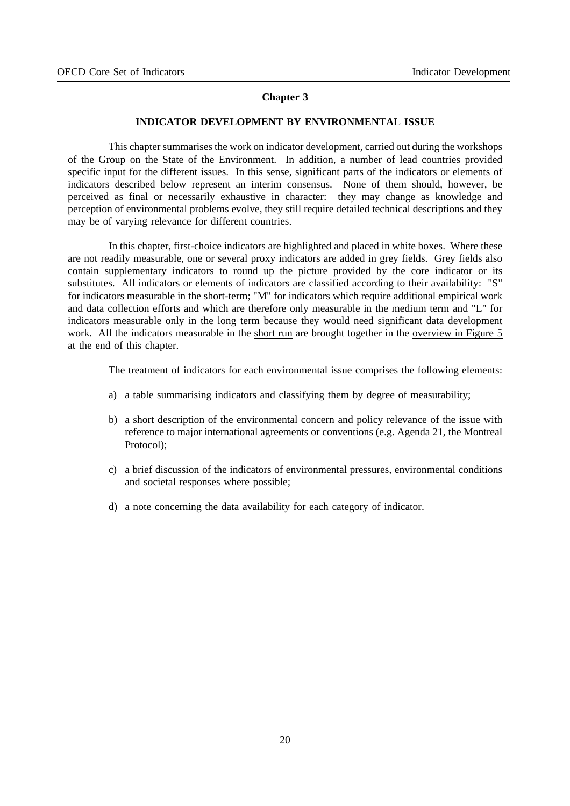## **Chapter 3**

## **INDICATOR DEVELOPMENT BY ENVIRONMENTAL ISSUE**

This chapter summarises the work on indicator development, carried out during the workshops of the Group on the State of the Environment. In addition, a number of lead countries provided specific input for the different issues. In this sense, significant parts of the indicators or elements of indicators described below represent an interim consensus. None of them should, however, be perceived as final or necessarily exhaustive in character: they may change as knowledge and perception of environmental problems evolve, they still require detailed technical descriptions and they may be of varying relevance for different countries.

In this chapter, first-choice indicators are highlighted and placed in white boxes. Where these are not readily measurable, one or several proxy indicators are added in grey fields. Grey fields also contain supplementary indicators to round up the picture provided by the core indicator or its substitutes. All indicators or elements of indicators are classified according to their availability: "S" for indicators measurable in the short-term; "M" for indicators which require additional empirical work and data collection efforts and which are therefore only measurable in the medium term and "L" for indicators measurable only in the long term because they would need significant data development work. All the indicators measurable in the short run are brought together in the overview in Figure 5 at the end of this chapter.

The treatment of indicators for each environmental issue comprises the following elements:

- a) a table summarising indicators and classifying them by degree of measurability;
- b) a short description of the environmental concern and policy relevance of the issue with reference to major international agreements or conventions (e.g. Agenda 21, the Montreal Protocol);
- c) a brief discussion of the indicators of environmental pressures, environmental conditions and societal responses where possible;
- d) a note concerning the data availability for each category of indicator.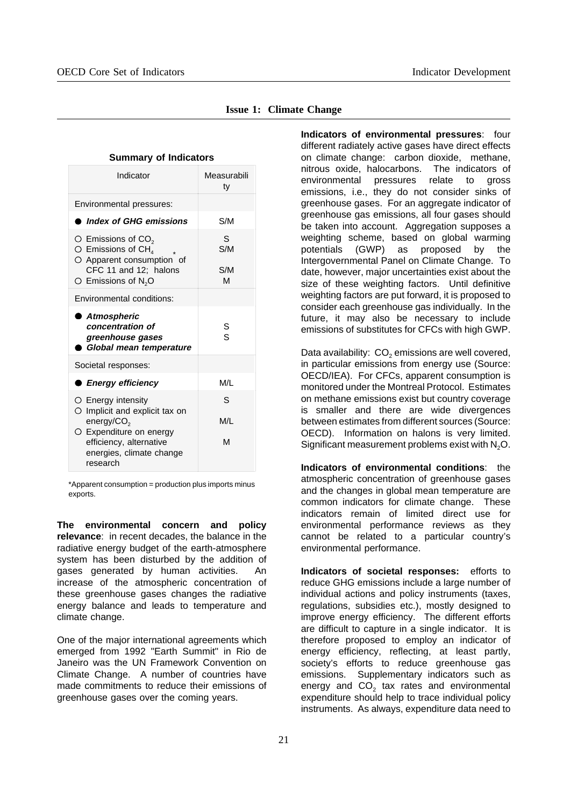| Indicator                                                                                                 | Measurabili<br>ty |
|-----------------------------------------------------------------------------------------------------------|-------------------|
| Environmental pressures:                                                                                  |                   |
| Index of GHG emissions                                                                                    | S/M               |
| $\circ$ Emissions of CO <sub>2</sub><br>$\circ$ Emissions of CH <sub>4</sub><br>O Apparent consumption of | S<br>S/M          |
| CFC 11 and 12; halons<br>$\circ$ Emissions of N <sub>2</sub> O                                            | S/M<br>M          |
| <b>Environmental conditions:</b>                                                                          |                   |
| Atmospheric<br>concentration of<br>greenhouse gases<br>Global mean temperature                            | s<br>s            |
| Societal responses:                                                                                       |                   |
| ● Energy efficiency                                                                                       | M/L               |
| O Energy intensity<br>Implicit and explicit tax on<br>O.                                                  | S                 |
| energy/ $CO2$                                                                                             | M/L               |
| O Expenditure on energy<br>efficiency, alternative<br>energies, climate change<br>research                | М                 |

## **Issue 1: Climate Change**

**Indicators of environmental pressures**: four different radiately active gases have direct effects on climate change: carbon dioxide, methane, nitrous oxide, halocarbons. The indicators of environmental pressures relate to gross emissions, i.e., they do not consider sinks of greenhouse gases. For an aggregate indicator of greenhouse gas emissions, all four gases should be taken into account. Aggregation supposes a weighting scheme, based on global warming potentials (GWP) as proposed by the Intergovernmental Panel on Climate Change. To date, however, major uncertainties exist about the size of these weighting factors. Until definitive weighting factors are put forward, it is proposed to consider each greenhouse gas individually. In the future, it may also be necessary to include emissions of substitutes for CFCs with high GWP.

Data availability: CO<sub>2</sub> emissions are well covered, in particular emissions from energy use (Source: OECD/IEA). For CFCs, apparent consumption is monitored under the Montreal Protocol. Estimates on methane emissions exist but country coverage is smaller and there are wide divergences between estimates from different sources (Source: OECD). Information on halons is very limited. Significant measurement problems exist with  $N_2O$ .

**Indicators of environmental conditions**: the atmospheric concentration of greenhouse gases and the changes in global mean temperature are common indicators for climate change. These indicators remain of limited direct use for environmental performance reviews as they cannot be related to a particular country's environmental performance.

**Indicators of societal responses:** efforts to reduce GHG emissions include a large number of individual actions and policy instruments (taxes, regulations, subsidies etc.), mostly designed to improve energy efficiency. The different efforts are difficult to capture in a single indicator. It is therefore proposed to employ an indicator of energy efficiency, reflecting, at least partly, society's efforts to reduce greenhouse gas emissions. Supplementary indicators such as energy and  $CO<sub>2</sub>$  tax rates and environmental expenditure should help to trace individual policy instruments. As always, expenditure data need to

\*Apparent consumption = production plus imports minus exports.

**The environmental concern and policy relevance**: in recent decades, the balance in the radiative energy budget of the earth-atmosphere system has been disturbed by the addition of gases generated by human activities. An increase of the atmospheric concentration of these greenhouse gases changes the radiative energy balance and leads to temperature and climate change.

One of the major international agreements which emerged from 1992 "Earth Summit" in Rio de Janeiro was the UN Framework Convention on Climate Change. A number of countries have made commitments to reduce their emissions of greenhouse gases over the coming years.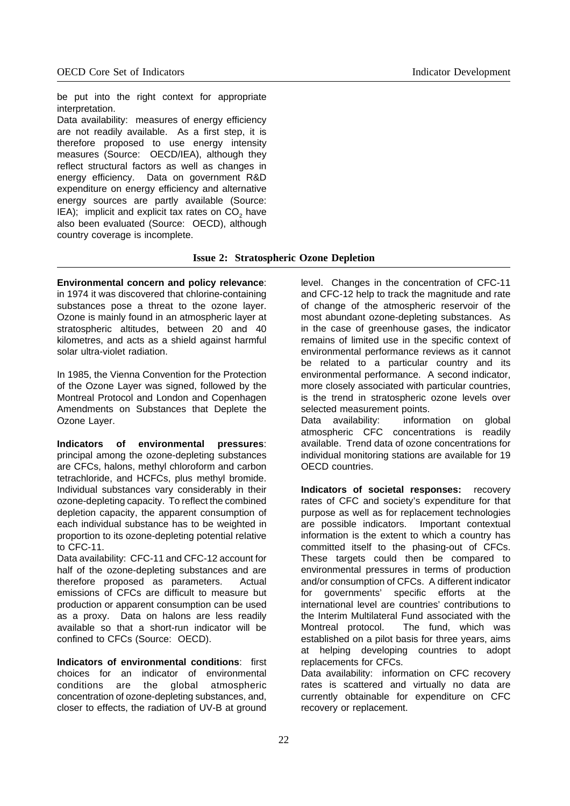be put into the right context for appropriate interpretation.

Data availability: measures of energy efficiency are not readily available. As a first step, it is therefore proposed to use energy intensity measures (Source: OECD/IEA), although they reflect structural factors as well as changes in energy efficiency. Data on government R&D expenditure on energy efficiency and alternative energy sources are partly available (Source:  $IEA$ ); implicit and explicit tax rates on  $CO<sub>2</sub>$  have also been evaluated (Source: OECD), although country coverage is incomplete.

## **Issue 2: Stratospheric Ozone Depletion**

**Environmental concern and policy relevance**: in 1974 it was discovered that chlorine-containing substances pose a threat to the ozone layer. Ozone is mainly found in an atmospheric layer at stratospheric altitudes, between 20 and 40 kilometres, and acts as a shield against harmful solar ultra-violet radiation.

In 1985, the Vienna Convention for the Protection of the Ozone Layer was signed, followed by the Montreal Protocol and London and Copenhagen Amendments on Substances that Deplete the Ozone Layer.

**Indicators of environmental pressures**: principal among the ozone-depleting substances are CFCs, halons, methyl chloroform and carbon tetrachloride, and HCFCs, plus methyl bromide. Individual substances vary considerably in their ozone-depleting capacity. To reflect the combined depletion capacity, the apparent consumption of each individual substance has to be weighted in proportion to its ozone-depleting potential relative to CFC-11.

Data availability: CFC-11 and CFC-12 account for half of the ozone-depleting substances and are therefore proposed as parameters. Actual emissions of CFCs are difficult to measure but production or apparent consumption can be used as a proxy. Data on halons are less readily available so that a short-run indicator will be confined to CFCs (Source: OECD).

**Indicators of environmental conditions**: first choices for an indicator of environmental conditions are the global atmospheric concentration of ozone-depleting substances, and, closer to effects, the radiation of UV-B at ground level. Changes in the concentration of CFC-11 and CFC-12 help to track the magnitude and rate of change of the atmospheric reservoir of the most abundant ozone-depleting substances. As in the case of greenhouse gases, the indicator remains of limited use in the specific context of environmental performance reviews as it cannot be related to a particular country and its environmental performance. A second indicator, more closely associated with particular countries, is the trend in stratospheric ozone levels over selected measurement points.

Data availability: information on global atmospheric CFC concentrations is readily available. Trend data of ozone concentrations for individual monitoring stations are available for 19 OECD countries.

**Indicators of societal responses:** recovery rates of CFC and society's expenditure for that purpose as well as for replacement technologies are possible indicators. Important contextual information is the extent to which a country has committed itself to the phasing-out of CFCs. These targets could then be compared to environmental pressures in terms of production and/or consumption of CFCs. A different indicator for governments' specific efforts at the international level are countries' contributions to the Interim Multilateral Fund associated with the Montreal protocol. The fund, which was established on a pilot basis for three years, aims at helping developing countries to adopt replacements for CFCs.

Data availability: information on CFC recovery rates is scattered and virtually no data are currently obtainable for expenditure on CFC recovery or replacement.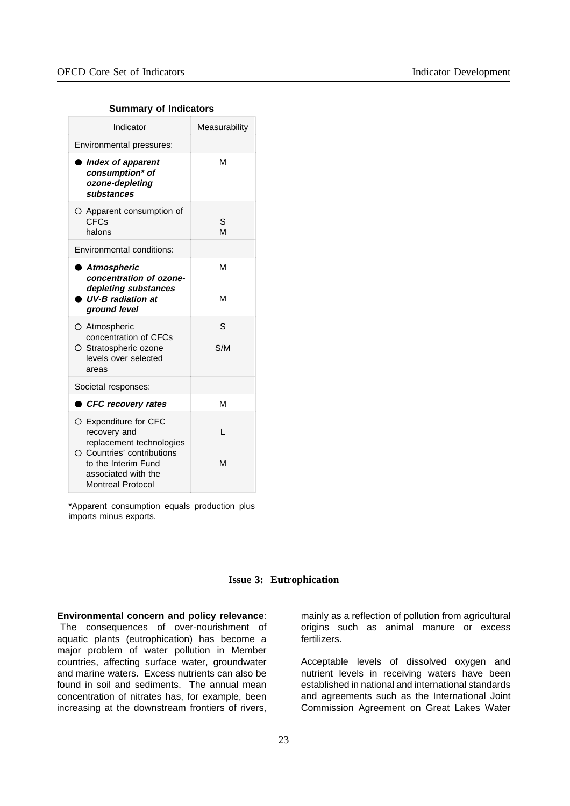| Indicator<br>Measurability                                                                                                                              |
|---------------------------------------------------------------------------------------------------------------------------------------------------------|
| Environmental pressures:                                                                                                                                |
| M<br>Index of apparent<br>consumption* of<br>ozone-depleting<br>substances                                                                              |
| O Apparent consumption of<br>S<br>M<br>halons                                                                                                           |
| <b>Environmental conditions:</b>                                                                                                                        |
| M<br>Atmospheric<br>concentration of ozone-<br>depleting substances                                                                                     |
| <b>UV-B</b> radiation at<br>м<br>ground level                                                                                                           |
| S<br>O Atmospheric<br>concentration of CFCs<br>O Stratospheric ozone<br>S/M<br>levels over selected                                                     |
| Societal responses:                                                                                                                                     |
| М<br>CFC recovery rates                                                                                                                                 |
| O Expenditure for CFC<br>L<br>recovery and<br>replacement technologies<br>O Countries' contributions<br>to the Interim Fund<br>м<br>associated with the |
| <b>Montreal Protocol</b>                                                                                                                                |

\*Apparent consumption equals production plus imports minus exports.

|  |  | <b>Issue 3: Eutrophication</b> |
|--|--|--------------------------------|
|--|--|--------------------------------|

## **Environmental concern and policy relevance**:

The consequences of over-nourishment of aquatic plants (eutrophication) has become a major problem of water pollution in Member countries, affecting surface water, groundwater and marine waters. Excess nutrients can also be found in soil and sediments. The annual mean concentration of nitrates has, for example, been increasing at the downstream frontiers of rivers,

mainly as a reflection of pollution from agricultural origins such as animal manure or excess fertilizers.

Acceptable levels of dissolved oxygen and nutrient levels in receiving waters have been established in national and international standards and agreements such as the International Joint Commission Agreement on Great Lakes Water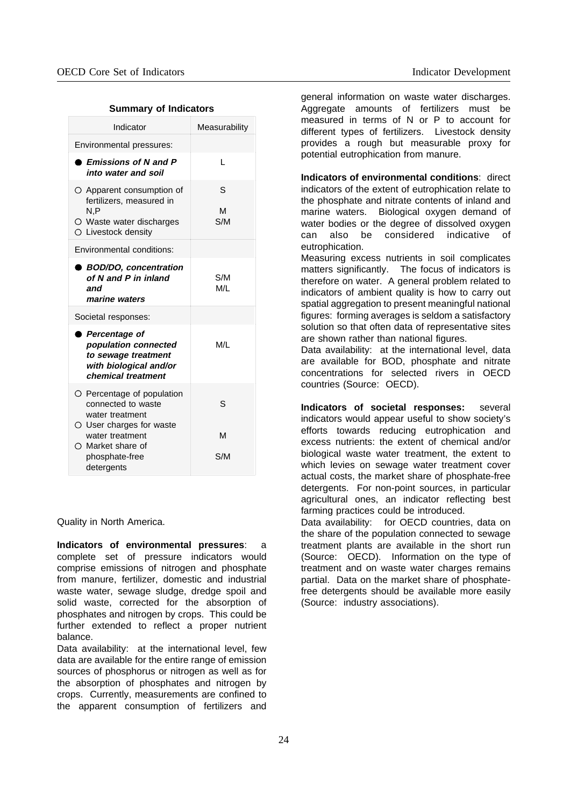**Summary of Indicators**

| Measurability |
|---------------|
|               |
| L             |
| S<br>М<br>S/M |
|               |
| S/M<br>M/L    |
|               |
| M/L           |
| S             |
| М<br>S/M      |
|               |

Quality in North America.

**Indicators of environmental pressures**: a complete set of pressure indicators would comprise emissions of nitrogen and phosphate from manure, fertilizer, domestic and industrial waste water, sewage sludge, dredge spoil and solid waste, corrected for the absorption of phosphates and nitrogen by crops. This could be further extended to reflect a proper nutrient balance.

Data availability: at the international level, few data are available for the entire range of emission sources of phosphorus or nitrogen as well as for the absorption of phosphates and nitrogen by crops. Currently, measurements are confined to the apparent consumption of fertilizers and general information on waste water discharges. Aggregate amounts of fertilizers must be measured in terms of N or P to account for different types of fertilizers. Livestock density provides a rough but measurable proxy for potential eutrophication from manure.

**Indicators of environmental conditions**: direct indicators of the extent of eutrophication relate to the phosphate and nitrate contents of inland and marine waters. Biological oxygen demand of water bodies or the degree of dissolved oxygen can also be considered indicative of eutrophication.

Measuring excess nutrients in soil complicates matters significantly. The focus of indicators is therefore on water. A general problem related to indicators of ambient quality is how to carry out spatial aggregation to present meaningful national figures: forming averages is seldom a satisfactory solution so that often data of representative sites are shown rather than national figures.

Data availability: at the international level, data are available for BOD, phosphate and nitrate concentrations for selected rivers in OECD countries (Source: OECD).

**Indicators of societal responses:** several indicators would appear useful to show society's efforts towards reducing eutrophication and excess nutrients: the extent of chemical and/or biological waste water treatment, the extent to which levies on sewage water treatment cover actual costs, the market share of phosphate-free detergents. For non-point sources, in particular agricultural ones, an indicator reflecting best farming practices could be introduced.

Data availability: for OECD countries, data on the share of the population connected to sewage treatment plants are available in the short run (Source: OECD). Information on the type of treatment and on waste water charges remains partial. Data on the market share of phosphatefree detergents should be available more easily (Source: industry associations).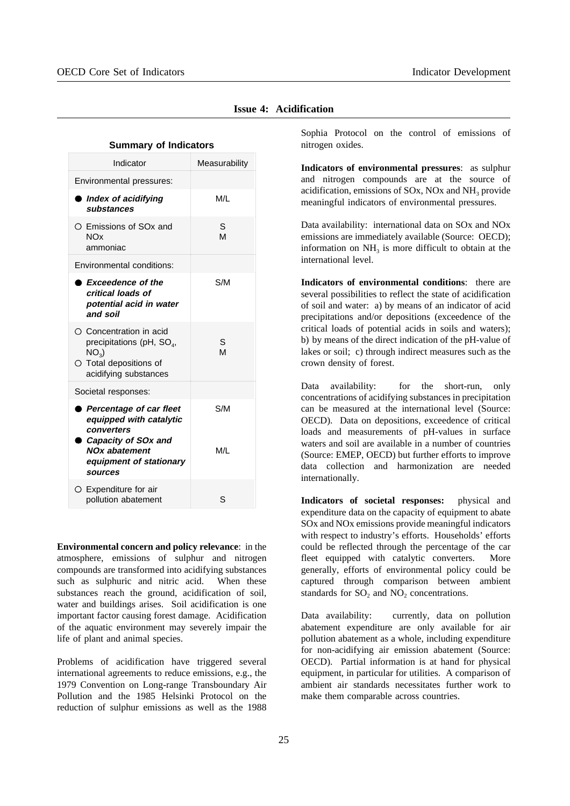| Summary or muicalors                                                                                                            |               |
|---------------------------------------------------------------------------------------------------------------------------------|---------------|
| Indicator                                                                                                                       | Measurability |
| Environmental pressures:                                                                                                        |               |
| Index of acidifying<br>substances                                                                                               | M/L           |
| O Emissions of SOx and<br><b>NOx</b><br>ammoniac                                                                                | S<br>M        |
| Environmental conditions:                                                                                                       |               |
| Exceedence of the<br>critical loads of<br>potential acid in water<br>and soil                                                   | S/M           |
| O Concentration in acid<br>precipitations (pH, $SO_4$ ,<br>NO <sub>3</sub> )<br>O Total depositions of<br>acidifying substances | S<br>M        |
| Societal responses:                                                                                                             |               |
| Percentage of car fleet<br>equipped with catalytic<br>converters                                                                | S/M           |
| Capacity of SOx and<br><b>NO<sub>x</sub></b> abatement<br>equipment of stationary<br>sources                                    | M/L           |
| $\circ$ Expenditure for air<br>pollution abatement                                                                              | S             |

**Issue 4: Acidification**

# **Summary of Indicators**

Sophia Protocol on the control of emissions of nitrogen oxides.

**Indicators of environmental pressures**: as sulphur and nitrogen compounds are at the source of acidification, emissions of  $SOX$ ,  $NOx$  and  $NH<sub>3</sub>$  provide meaningful indicators of environmental pressures.

Data availability: international data on SOx and NOx emissions are immediately available (Source: OECD); information on  $NH<sub>3</sub>$  is more difficult to obtain at the international level.

**Indicators of environmental conditions**: there are several possibilities to reflect the state of acidification of soil and water: a) by means of an indicator of acid precipitations and/or depositions (exceedence of the critical loads of potential acids in soils and waters); b) by means of the direct indication of the pH-value of lakes or soil; c) through indirect measures such as the crown density of forest.

Data availability: for the short-run, only concentrations of acidifying substances in precipitation can be measured at the international level (Source: OECD). Data on depositions, exceedence of critical loads and measurements of pH-values in surface waters and soil are available in a number of countries (Source: EMEP, OECD) but further efforts to improve data collection and harmonization are needed internationally.

**Indicators of societal responses:** physical and expenditure data on the capacity of equipment to abate SOx and NOx emissions provide meaningful indicators with respect to industry's efforts. Households' efforts could be reflected through the percentage of the car fleet equipped with catalytic converters. More generally, efforts of environmental policy could be captured through comparison between ambient standards for  $SO_2$  and  $NO_2$  concentrations.

Data availability: currently, data on pollution abatement expenditure are only available for air pollution abatement as a whole, including expenditure for non-acidifying air emission abatement (Source: OECD). Partial information is at hand for physical equipment, in particular for utilities. A comparison of ambient air standards necessitates further work to make them comparable across countries.

**Environmental concern and policy relevance**: in the atmosphere, emissions of sulphur and nitrogen compounds are transformed into acidifying substances such as sulphuric and nitric acid. When these substances reach the ground, acidification of soil, water and buildings arises. Soil acidification is one important factor causing forest damage. Acidification of the aquatic environment may severely impair the life of plant and animal species.

Problems of acidification have triggered several international agreements to reduce emissions, e.g., the 1979 Convention on Long-range Transboundary Air Pollution and the 1985 Helsinki Protocol on the reduction of sulphur emissions as well as the 1988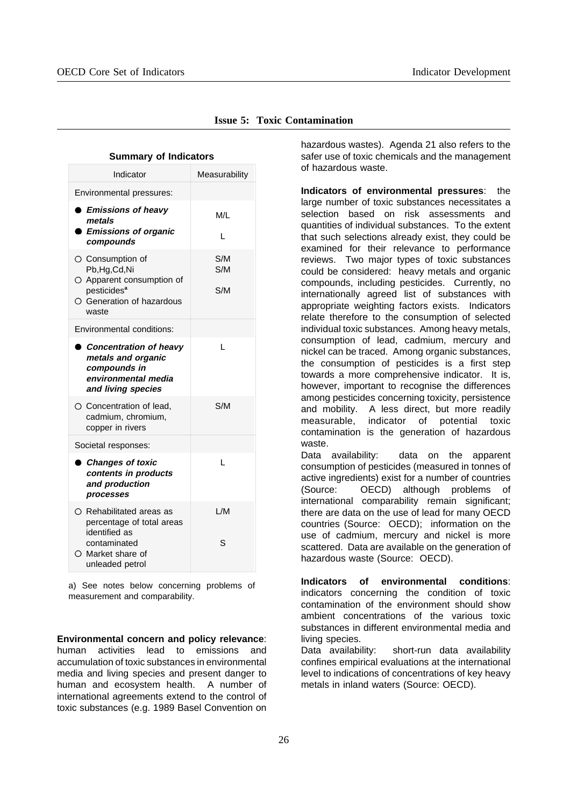| Indicator                                                                                                                              | Measurability     |
|----------------------------------------------------------------------------------------------------------------------------------------|-------------------|
| Environmental pressures:                                                                                                               |                   |
| <b>Emissions of heavy</b><br>metals<br><b>Emissions of organic</b>                                                                     | M/L<br>L          |
| compounds                                                                                                                              |                   |
| $\circ$ Consumption of<br>Pb, Hg, Cd, Ni<br>O Apparent consumption of<br>pesticides <sup>a</sup><br>O Generation of hazardous<br>waste | S/M<br>S/M<br>S/M |
| Environmental conditions:                                                                                                              |                   |
| <b>Concentration of heavy</b><br>metals and organic<br>compounds in<br>environmental media<br>and living species                       | L                 |
| O Concentration of lead,<br>cadmium, chromium,<br>copper in rivers                                                                     | S/M               |
| Societal responses:                                                                                                                    |                   |
| <b>Changes of toxic</b><br>contents in products<br>and production<br>processes                                                         | L                 |
| O Rehabilitated areas as<br>percentage of total areas<br>identified as<br>contaminated<br>O Market share of<br>unleaded petrol         | L/M<br>S          |

# **Issue 5: Toxic Contamination**

hazardous wastes). Agenda 21 also refers to the safer use of toxic chemicals and the management of hazardous waste.

**Indicators of environmental pressures**: the large number of toxic substances necessitates a selection based on risk assessments and quantities of individual substances. To the extent that such selections already exist, they could be examined for their relevance to performance reviews. Two major types of toxic substances could be considered: heavy metals and organic compounds, including pesticides. Currently, no internationally agreed list of substances with appropriate weighting factors exists. Indicators relate therefore to the consumption of selected individual toxic substances. Among heavy metals, consumption of lead, cadmium, mercury and nickel can be traced. Among organic substances, the consumption of pesticides is a first step towards a more comprehensive indicator. It is, however, important to recognise the differences among pesticides concerning toxicity, persistence and mobility. A less direct, but more readily measurable, indicator of potential toxic contamination is the generation of hazardous waste.

Data availability: data on the apparent consumption of pesticides (measured in tonnes of active ingredients) exist for a number of countries (Source: OECD) although problems of international comparability remain significant; there are data on the use of lead for many OECD countries (Source: OECD); information on the use of cadmium, mercury and nickel is more scattered. Data are available on the generation of hazardous waste (Source: OECD).

**Indicators of environmental conditions**: indicators concerning the condition of toxic contamination of the environment should show ambient concentrations of the various toxic substances in different environmental media and living species.

Data availability: short-run data availability confines empirical evaluations at the international level to indications of concentrations of key heavy metals in inland waters (Source: OECD).

|  |  | a) See notes below concerning problems of |  |
|--|--|-------------------------------------------|--|
|  |  | measurement and comparability.            |  |

**Environmental concern and policy relevance**: human activities lead to emissions and accumulation of toxic substances in environmental media and living species and present danger to human and ecosystem health. A number of international agreements extend to the control of toxic substances (e.g. 1989 Basel Convention on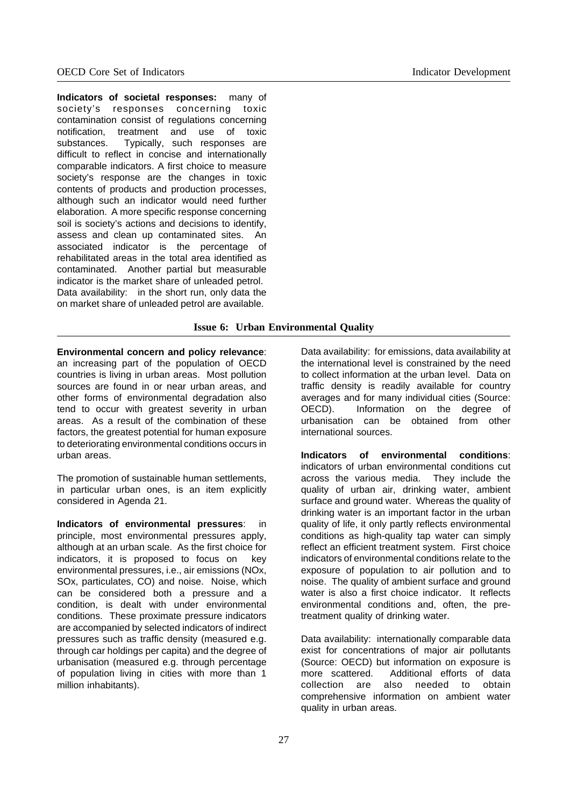**Indicators of societal responses:** many of society's responses concerning toxic contamination consist of regulations concerning notification, treatment and use of toxic substances. Typically, such responses are difficult to reflect in concise and internationally comparable indicators. A first choice to measure society's response are the changes in toxic contents of products and production processes, although such an indicator would need further elaboration. A more specific response concerning soil is society's actions and decisions to identify, assess and clean up contaminated sites. An associated indicator is the percentage of rehabilitated areas in the total area identified as contaminated. Another partial but measurable indicator is the market share of unleaded petrol. Data availability: in the short run, only data the on market share of unleaded petrol are available.

#### **Issue 6: Urban Environmental Quality**

**Environmental concern and policy relevance**: an increasing part of the population of OECD countries is living in urban areas. Most pollution sources are found in or near urban areas, and other forms of environmental degradation also tend to occur with greatest severity in urban areas. As a result of the combination of these factors, the greatest potential for human exposure to deteriorating environmental conditions occurs in urban areas.

The promotion of sustainable human settlements, in particular urban ones, is an item explicitly considered in Agenda 21.

**Indicators of environmental pressures**: in principle, most environmental pressures apply, although at an urban scale. As the first choice for indicators, it is proposed to focus on key environmental pressures, i.e., air emissions (NOx, SOx, particulates, CO) and noise. Noise, which can be considered both a pressure and a condition, is dealt with under environmental conditions. These proximate pressure indicators are accompanied by selected indicators of indirect pressures such as traffic density (measured e.g. through car holdings per capita) and the degree of urbanisation (measured e.g. through percentage of population living in cities with more than 1 million inhabitants).

Data availability: for emissions, data availability at the international level is constrained by the need to collect information at the urban level. Data on traffic density is readily available for country averages and for many individual cities (Source: OECD). Information on the degree of urbanisation can be obtained from other international sources.

**Indicators of environmental conditions**: indicators of urban environmental conditions cut across the various media. They include the quality of urban air, drinking water, ambient surface and ground water. Whereas the quality of drinking water is an important factor in the urban quality of life, it only partly reflects environmental conditions as high-quality tap water can simply reflect an efficient treatment system. First choice indicators of environmental conditions relate to the exposure of population to air pollution and to noise. The quality of ambient surface and ground water is also a first choice indicator. It reflects environmental conditions and, often, the pretreatment quality of drinking water.

Data availability: internationally comparable data exist for concentrations of major air pollutants (Source: OECD) but information on exposure is more scattered. Additional efforts of data collection are also needed to obtain comprehensive information on ambient water quality in urban areas.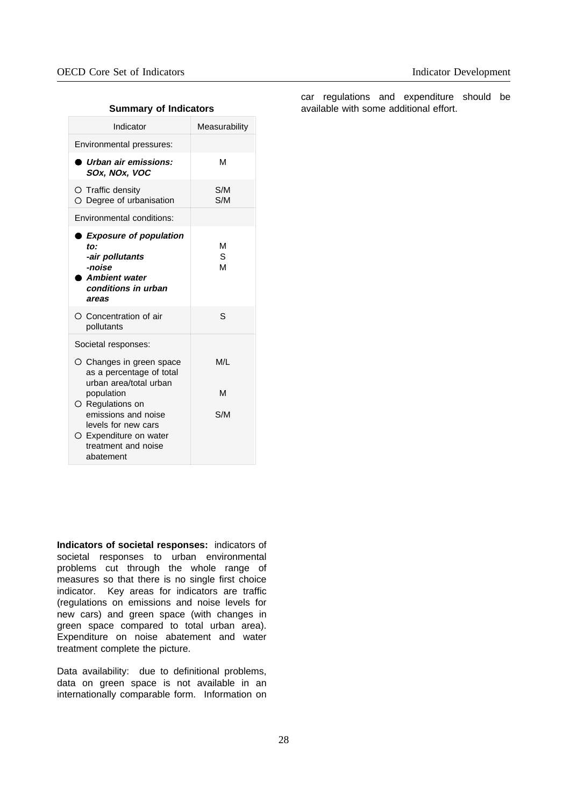| Indicator                                                                                                                    | Measurability |
|------------------------------------------------------------------------------------------------------------------------------|---------------|
| Environmental pressures:                                                                                                     |               |
| Urban air emissions:<br>SOx, NOx, VOC                                                                                        | М             |
| $\circ$ Traffic density<br>O Degree of urbanisation                                                                          | S/M<br>S/M    |
| Environmental conditions:                                                                                                    |               |
| Exposure of population<br>to:<br>-air pollutants<br>-noise<br>Ambient water<br>conditions in urban<br>areas                  | м<br>S<br>M   |
| O Concentration of air<br>pollutants                                                                                         | S             |
| Societal responses:                                                                                                          |               |
| ○ Changes in green space<br>as a percentage of total<br>urban area/total urban                                               | M/L           |
| population                                                                                                                   | M             |
| O Regulations on<br>emissions and noise<br>levels for new cars<br>O Expenditure on water<br>treatment and noise<br>abatement | S/M           |

**Indicators of societal responses:** indicators of societal responses to urban environmental problems cut through the whole range of measures so that there is no single first choice indicator. Key areas for indicators are traffic (regulations on emissions and noise levels for new cars) and green space (with changes in green space compared to total urban area). Expenditure on noise abatement and water treatment complete the picture.

Data availability: due to definitional problems, data on green space is not available in an internationally comparable form. Information on car regulations and expenditure should be available with some additional effort.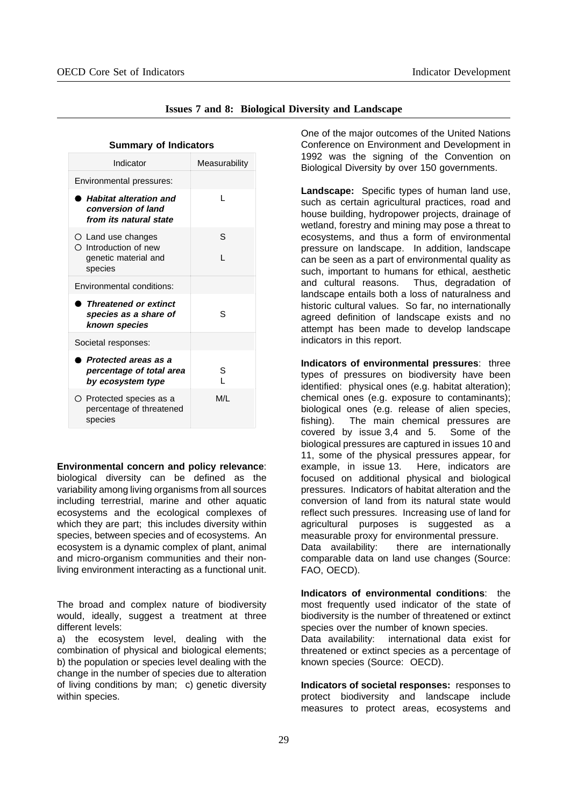| Indicator                                                                                  | Measurability |
|--------------------------------------------------------------------------------------------|---------------|
| Environmental pressures:                                                                   |               |
| <b>Habitat alteration and</b><br>conversion of land<br>from its natural state              | L             |
| $\circ$ Land use changes<br>$\circ$ Introduction of new<br>genetic material and<br>species | S             |
| <b>Environmental conditions:</b>                                                           |               |
| <b>Threatened or extinct</b><br>species as a share of<br>known species                     | S             |
| Societal responses:                                                                        |               |
| Protected areas as a<br>percentage of total area<br>by ecosystem type                      | S             |
| O Protected species as a<br>percentage of threatened<br>species                            | M/L           |

## **Issues 7 and 8: Biological Diversity and Landscape**

One of the major outcomes of the United Nations Conference on Environment and Development in 1992 was the signing of the Convention on Biological Diversity by over 150 governments.

**Landscape:** Specific types of human land use, such as certain agricultural practices, road and house building, hydropower projects, drainage of wetland, forestry and mining may pose a threat to ecosystems, and thus a form of environmental pressure on landscape. In addition, landscape can be seen as a part of environmental quality as such, important to humans for ethical, aesthetic and cultural reasons. Thus, degradation of landscape entails both a loss of naturalness and historic cultural values. So far, no internationally agreed definition of landscape exists and no attempt has been made to develop landscape indicators in this report.

**Indicators of environmental pressures**: three types of pressures on biodiversity have been identified: physical ones (e.g. habitat alteration); chemical ones (e.g. exposure to contaminants); biological ones (e.g. release of alien species, fishing). The main chemical pressures are covered by issue 3,4 and 5. Some of the biological pressures are captured in issues 10 and 11, some of the physical pressures appear, for example, in issue 13. Here, indicators are focused on additional physical and biological pressures. Indicators of habitat alteration and the conversion of land from its natural state would reflect such pressures. Increasing use of land for agricultural purposes is suggested as a measurable proxy for environmental pressure. Data availability: there are internationally comparable data on land use changes (Source: FAO, OECD).

**Indicators of environmental conditions**: the most frequently used indicator of the state of biodiversity is the number of threatened or extinct species over the number of known species. Data availability: international data exist for threatened or extinct species as a percentage of known species (Source: OECD).

**Indicators of societal responses:** responses to protect biodiversity and landscape include measures to protect areas, ecosystems and

**Environmental concern and policy relevance**: biological diversity can be defined as the variability among living organisms from all sources including terrestrial, marine and other aquatic ecosystems and the ecological complexes of which they are part; this includes diversity within species, between species and of ecosystems. An ecosystem is a dynamic complex of plant, animal and micro-organism communities and their nonliving environment interacting as a functional unit.

The broad and complex nature of biodiversity would, ideally, suggest a treatment at three different levels:

a) the ecosystem level, dealing with the combination of physical and biological elements; b) the population or species level dealing with the change in the number of species due to alteration of living conditions by man; c) genetic diversity within species.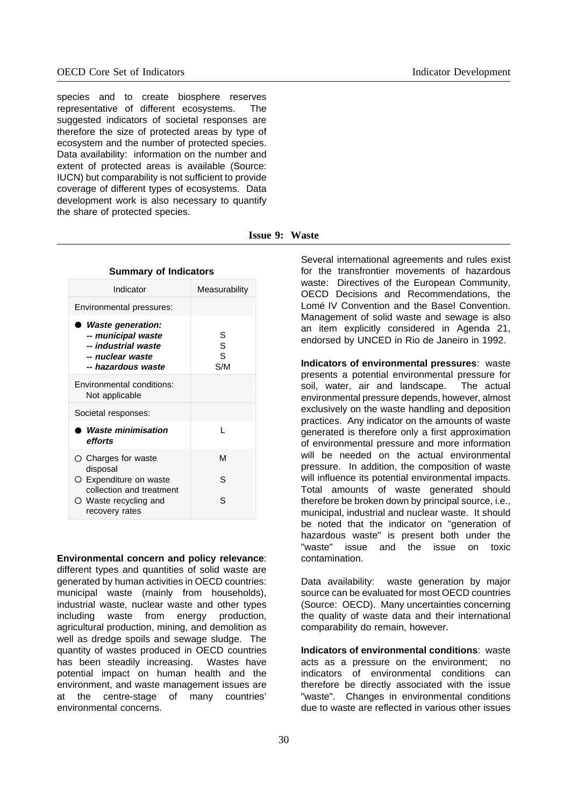species and to create biosphere reserves representative of different ecosystems. The suggested indicators of societal responses are therefore the size of protected areas by type of ecosystem and the number of protected species. Data availability: information on the number and extent of protected areas is available (Source: IUCN) but comparability is not sufficient to provide coverage of different types of ecosystems. Data development work is also necessary to quantify the share of protected species.

**Issue 9: Waste**

| Indicator                                                                                                       | Measurability      |
|-----------------------------------------------------------------------------------------------------------------|--------------------|
| Environmental pressures:                                                                                        |                    |
| <b>Waste generation:</b><br>-- municipal waste<br>-- industrial waste<br>-- nuclear waste<br>-- hazardous waste | S<br>S<br>S<br>S/M |
| Environmental conditions:<br>Not applicable                                                                     |                    |
| Societal responses:                                                                                             |                    |
| <b>Waste minimisation</b><br>efforts                                                                            | L                  |
| $\circ$ Charges for waste<br>disposal                                                                           | М                  |
| O Expenditure on waste<br>collection and treatment                                                              | S                  |
| $\circ$ Waste recycling and<br>recovery rates                                                                   | S                  |

#### **Summary of Indicators**

**Environmental concern and policy relevance**:

different types and quantities of solid waste are generated by human activities in OECD countries: municipal waste (mainly from households), industrial waste, nuclear waste and other types including waste from energy production, agricultural production, mining, and demolition as well as dredge spoils and sewage sludge. The quantity of wastes produced in OECD countries has been steadily increasing. Wastes have potential impact on human health and the environment, and waste management issues are at the centre-stage of many countries' environmental concerns.

Several international agreements and rules exist for the transfrontier movements of hazardous waste: Directives of the European Community, OECD Decisions and Recommendations, the Lomé IV Convention and the Basel Convention. Management of solid waste and sewage is also an item explicitly considered in Agenda 21, endorsed by UNCED in Rio de Janeiro in 1992.

**Indicators of environmental pressures**: waste presents a potential environmental pressure for soil, water, air and landscape. The actual environmental pressure depends, however, almost exclusively on the waste handling and deposition practices. Any indicator on the amounts of waste generated is therefore only a first approximation of environmental pressure and more information will be needed on the actual environmental pressure. In addition, the composition of waste will influence its potential environmental impacts. Total amounts of waste generated should therefore be broken down by principal source, i.e., municipal, industrial and nuclear waste. It should be noted that the indicator on "generation of hazardous waste" is present both under the "waste" issue and the issue on toxic contamination.

Data availability: waste generation by major source can be evaluated for most OECD countries (Source: OECD). Many uncertainties concerning the quality of waste data and their international comparability do remain, however.

**Indicators of environmental conditions**: waste acts as a pressure on the environment; no indicators of environmental conditions can therefore be directly associated with the issue "waste". Changes in environmental conditions due to waste are reflected in various other issues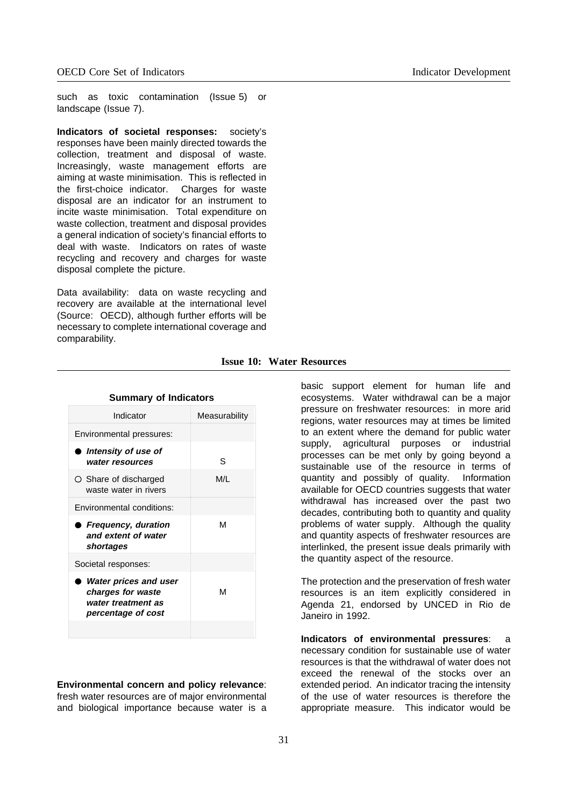such as toxic contamination (Issue 5) or landscape (Issue 7).

**Indicators of societal responses:** society's responses have been mainly directed towards the collection, treatment and disposal of waste. Increasingly, waste management efforts are aiming at waste minimisation. This is reflected in the first-choice indicator. Charges for waste disposal are an indicator for an instrument to incite waste minimisation. Total expenditure on waste collection, treatment and disposal provides a general indication of society's financial efforts to deal with waste. Indicators on rates of waste recycling and recovery and charges for waste disposal complete the picture.

Data availability: data on waste recycling and recovery are available at the international level (Source: OECD), although further efforts will be necessary to complete international coverage and comparability.

| <b>SUITINIALY VI MULLATULS</b>                                                                |               |
|-----------------------------------------------------------------------------------------------|---------------|
| Indicator                                                                                     | Measurability |
| Environmental pressures:                                                                      |               |
| Intensity of use of<br>water resources                                                        | S.            |
| $\circ$ Share of discharged<br>waste water in rivers                                          | M/L           |
| Environmental conditions:                                                                     |               |
| ● Frequency, duration<br>and extent of water<br>shortages                                     | М             |
| Societal responses:                                                                           |               |
| <b>Water prices and user</b><br>charges for waste<br>water treatment as<br>percentage of cost | M             |
|                                                                                               |               |

# **Summary of Indicators**

**Environmental concern and policy relevance**: fresh water resources are of major environmental and biological importance because water is a basic support element for human life and ecosystems. Water withdrawal can be a major pressure on freshwater resources: in more arid regions, water resources may at times be limited to an extent where the demand for public water supply, agricultural purposes or industrial processes can be met only by going beyond a sustainable use of the resource in terms of quantity and possibly of quality. Information available for OECD countries suggests that water withdrawal has increased over the past two decades, contributing both to quantity and quality problems of water supply. Although the quality and quantity aspects of freshwater resources are interlinked, the present issue deals primarily with the quantity aspect of the resource.

The protection and the preservation of fresh water resources is an item explicitly considered in Agenda 21, endorsed by UNCED in Rio de Janeiro in 1992.

**Indicators of environmental pressures**: a necessary condition for sustainable use of water resources is that the withdrawal of water does not exceed the renewal of the stocks over an extended period. An indicator tracing the intensity of the use of water resources is therefore the appropriate measure. This indicator would be

**Issue 10: Water Resources**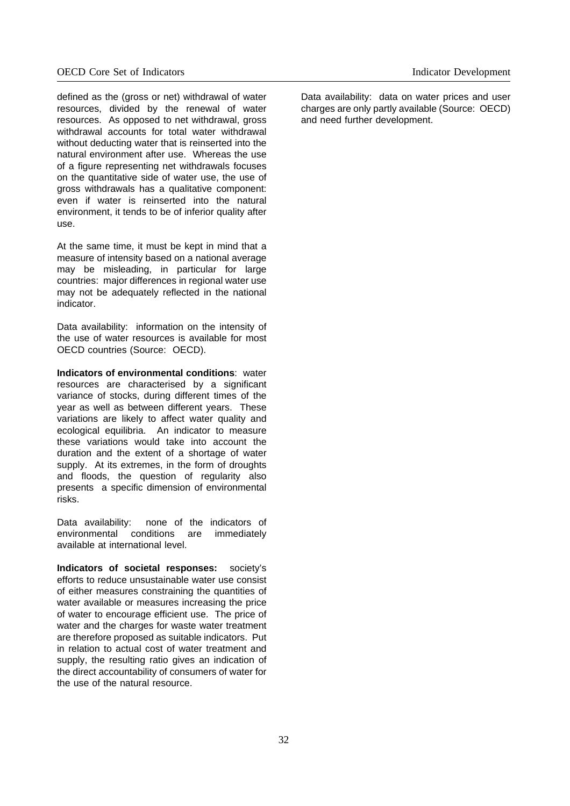defined as the (gross or net) withdrawal of water resources, divided by the renewal of water resources. As opposed to net withdrawal, gross withdrawal accounts for total water withdrawal without deducting water that is reinserted into the natural environment after use. Whereas the use of a figure representing net withdrawals focuses on the quantitative side of water use, the use of gross withdrawals has a qualitative component: even if water is reinserted into the natural environment, it tends to be of inferior quality after use.

At the same time, it must be kept in mind that a measure of intensity based on a national average may be misleading, in particular for large countries: major differences in regional water use may not be adequately reflected in the national indicator.

Data availability: information on the intensity of the use of water resources is available for most OECD countries (Source: OECD).

**Indicators of environmental conditions**: water resources are characterised by a significant variance of stocks, during different times of the year as well as between different years. These variations are likely to affect water quality and ecological equilibria. An indicator to measure these variations would take into account the duration and the extent of a shortage of water supply. At its extremes, in the form of droughts and floods, the question of regularity also presents a specific dimension of environmental risks.

Data availability: none of the indicators of environmental conditions are immediately available at international level.

**Indicators of societal responses:** society's efforts to reduce unsustainable water use consist of either measures constraining the quantities of water available or measures increasing the price of water to encourage efficient use. The price of water and the charges for waste water treatment are therefore proposed as suitable indicators. Put in relation to actual cost of water treatment and supply, the resulting ratio gives an indication of the direct accountability of consumers of water for the use of the natural resource.

Data availability: data on water prices and user charges are only partly available (Source: OECD) and need further development.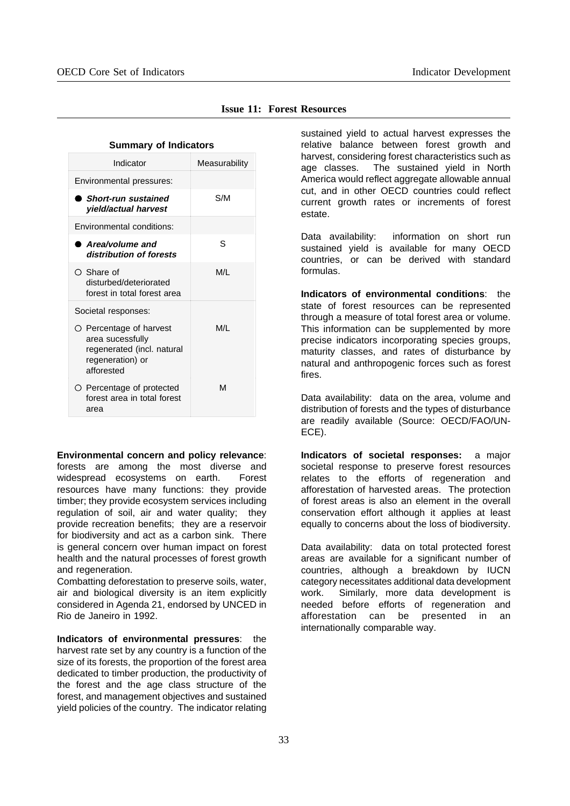| Indicator                                                                                                                                | Measurability |
|------------------------------------------------------------------------------------------------------------------------------------------|---------------|
| Environmental pressures:                                                                                                                 |               |
| Short-run sustained<br>yield/actual harvest                                                                                              | S/M           |
| Environmental conditions:                                                                                                                |               |
| Area/volume and<br>distribution of forests                                                                                               | S             |
| $\bigcirc$ Share of<br>disturbed/deteriorated<br>forest in total forest area                                                             | M/L           |
| Societal responses:<br>$\circ$ Percentage of harvest<br>area sucessfully<br>regenerated (incl. natural<br>regeneration) or<br>afforested | M/L           |
| ○ Percentage of protected<br>forest area in total forest<br>area                                                                         | м             |

|  |  |  |  | <b>Issue 11: Forest Resources</b> |
|--|--|--|--|-----------------------------------|
|--|--|--|--|-----------------------------------|

**Environmental concern and policy relevance**:

forests are among the most diverse and widespread ecosystems on earth. Forest resources have many functions: they provide timber; they provide ecosystem services including regulation of soil, air and water quality; they provide recreation benefits; they are a reservoir for biodiversity and act as a carbon sink. There is general concern over human impact on forest health and the natural processes of forest growth and regeneration.

Combatting deforestation to preserve soils, water, air and biological diversity is an item explicitly considered in Agenda 21, endorsed by UNCED in Rio de Janeiro in 1992.

**Indicators of environmental pressures**: the harvest rate set by any country is a function of the size of its forests, the proportion of the forest area dedicated to timber production, the productivity of the forest and the age class structure of the forest, and management objectives and sustained yield policies of the country. The indicator relating

sustained yield to actual harvest expresses the relative balance between forest growth and harvest, considering forest characteristics such as age classes. The sustained yield in North America would reflect aggregate allowable annual cut, and in other OECD countries could reflect current growth rates or increments of forest estate.

Data availability: information on short run sustained yield is available for many OECD countries, or can be derived with standard formulas.

**Indicators of environmental conditions**: the state of forest resources can be represented through a measure of total forest area or volume. This information can be supplemented by more precise indicators incorporating species groups, maturity classes, and rates of disturbance by natural and anthropogenic forces such as forest fires.

Data availability: data on the area, volume and distribution of forests and the types of disturbance are readily available (Source: OECD/FAO/UN-ECE).

**Indicators of societal responses:** a major societal response to preserve forest resources relates to the efforts of regeneration and afforestation of harvested areas. The protection of forest areas is also an element in the overall conservation effort although it applies at least equally to concerns about the loss of biodiversity.

Data availability: data on total protected forest areas are available for a significant number of countries, although a breakdown by IUCN category necessitates additional data development work. Similarly, more data development is needed before efforts of regeneration and afforestation can be presented in an internationally comparable way.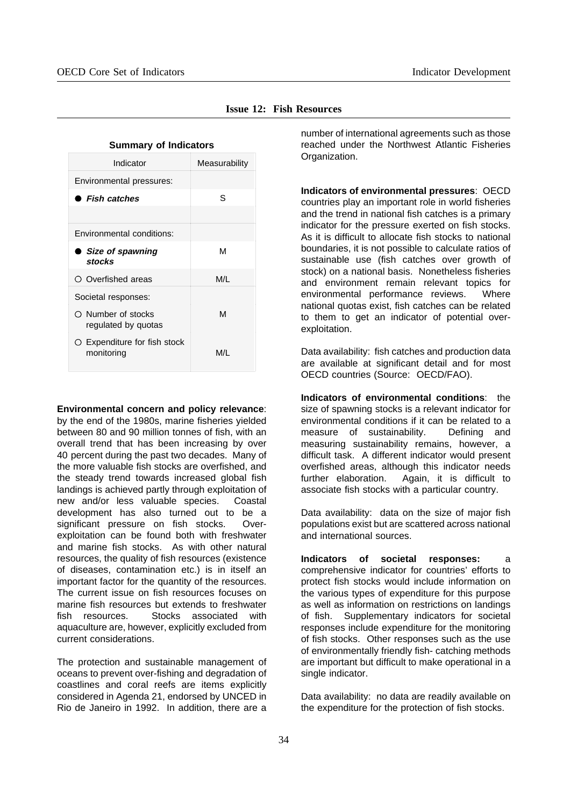| Indicator                                          | Measurability |
|----------------------------------------------------|---------------|
| Environmental pressures:                           |               |
| $\blacktriangleright$ Fish catches                 | S             |
|                                                    |               |
| Environmental conditions:                          |               |
| Size of spawning<br>stocks                         | м             |
| $\bigcirc$ Overfished areas                        | M/L           |
| Societal responses:                                |               |
| $\bigcirc$ Number of stocks<br>regulated by quotas | М             |
| $\circ$ Expenditure for fish stock<br>monitoring   | M/L           |

#### **Issue 12: Fish Resources**

number of international agreements such as those reached under the Northwest Atlantic Fisheries Organization.

**Indicators of environmental pressures**: OECD countries play an important role in world fisheries and the trend in national fish catches is a primary indicator for the pressure exerted on fish stocks. As it is difficult to allocate fish stocks to national boundaries, it is not possible to calculate ratios of sustainable use (fish catches over growth of stock) on a national basis. Nonetheless fisheries and environment remain relevant topics for environmental performance reviews. Where national quotas exist, fish catches can be related to them to get an indicator of potential overexploitation.

Data availability: fish catches and production data are available at significant detail and for most OECD countries (Source: OECD/FAO).

**Indicators of environmental conditions**: the size of spawning stocks is a relevant indicator for environmental conditions if it can be related to a measure of sustainability. Defining and measuring sustainability remains, however, a difficult task. A different indicator would present overfished areas, although this indicator needs further elaboration. Again, it is difficult to associate fish stocks with a particular country.

Data availability: data on the size of major fish populations exist but are scattered across national and international sources.

**Indicators of societal responses:** a comprehensive indicator for countries' efforts to protect fish stocks would include information on the various types of expenditure for this purpose as well as information on restrictions on landings of fish. Supplementary indicators for societal responses include expenditure for the monitoring of fish stocks. Other responses such as the use of environmentally friendly fish- catching methods are important but difficult to make operational in a single indicator.

Data availability: no data are readily available on the expenditure for the protection of fish stocks.

**Environmental concern and policy relevance**: by the end of the 1980s, marine fisheries yielded between 80 and 90 million tonnes of fish, with an overall trend that has been increasing by over 40 percent during the past two decades. Many of the more valuable fish stocks are overfished, and the steady trend towards increased global fish landings is achieved partly through exploitation of new and/or less valuable species. Coastal development has also turned out to be a significant pressure on fish stocks. Overexploitation can be found both with freshwater and marine fish stocks. As with other natural resources, the quality of fish resources (existence of diseases, contamination etc.) is in itself an important factor for the quantity of the resources. The current issue on fish resources focuses on marine fish resources but extends to freshwater fish resources. Stocks associated with aquaculture are, however, explicitly excluded from current considerations.

The protection and sustainable management of oceans to prevent over-fishing and degradation of coastlines and coral reefs are items explicitly considered in Agenda 21, endorsed by UNCED in Rio de Janeiro in 1992. In addition, there are a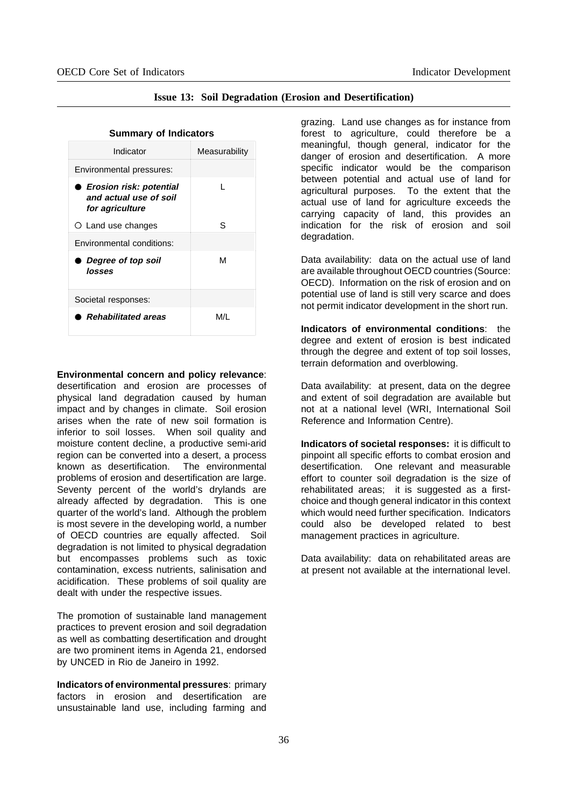| <b>Issue 13: Soil Degradation (Erosion and Desertification)</b> |  |  |
|-----------------------------------------------------------------|--|--|
|-----------------------------------------------------------------|--|--|

| <b>JUILILIAL Y UL IIIUILAIUIS</b>                                      |               |
|------------------------------------------------------------------------|---------------|
| Indicator                                                              | Measurability |
| Environmental pressures:                                               |               |
| ● Erosion risk: potential<br>and actual use of soil<br>for agriculture |               |
| $\circ$ Land use changes                                               | S             |
| Environmental conditions:                                              |               |
| <b>Degree of top soil</b><br>losses                                    | м             |
| Societal responses:                                                    |               |
| <b>Rehabilitated areas</b>                                             | M/L           |

**Environmental concern and policy relevance**:

desertification and erosion are processes of physical land degradation caused by human impact and by changes in climate. Soil erosion arises when the rate of new soil formation is inferior to soil losses. When soil quality and moisture content decline, a productive semi-arid region can be converted into a desert, a process known as desertification. The environmental problems of erosion and desertification are large. Seventy percent of the world's drylands are already affected by degradation. This is one quarter of the world's land. Although the problem is most severe in the developing world, a number of OECD countries are equally affected. Soil degradation is not limited to physical degradation but encompasses problems such as toxic contamination, excess nutrients, salinisation and acidification. These problems of soil quality are dealt with under the respective issues.

The promotion of sustainable land management practices to prevent erosion and soil degradation as well as combatting desertification and drought are two prominent items in Agenda 21, endorsed by UNCED in Rio de Janeiro in 1992.

**Indicators of environmental pressures**: primary factors in erosion and desertification are unsustainable land use, including farming and

grazing. Land use changes as for instance from forest to agriculture, could therefore be a meaningful, though general, indicator for the danger of erosion and desertification. A more specific indicator would be the comparison between potential and actual use of land for agricultural purposes. To the extent that the actual use of land for agriculture exceeds the carrying capacity of land, this provides an indication for the risk of erosion and soil degradation.

Data availability: data on the actual use of land are available throughout OECD countries (Source: OECD). Information on the risk of erosion and on potential use of land is still very scarce and does not permit indicator development in the short run.

**Indicators of environmental conditions**: the degree and extent of erosion is best indicated through the degree and extent of top soil losses, terrain deformation and overblowing.

Data availability: at present, data on the degree and extent of soil degradation are available but not at a national level (WRI, International Soil Reference and Information Centre).

**Indicators of societal responses:** it is difficult to pinpoint all specific efforts to combat erosion and desertification. One relevant and measurable effort to counter soil degradation is the size of rehabilitated areas; it is suggested as a firstchoice and though general indicator in this context which would need further specification. Indicators could also be developed related to best management practices in agriculture.

Data availability: data on rehabilitated areas are at present not available at the international level.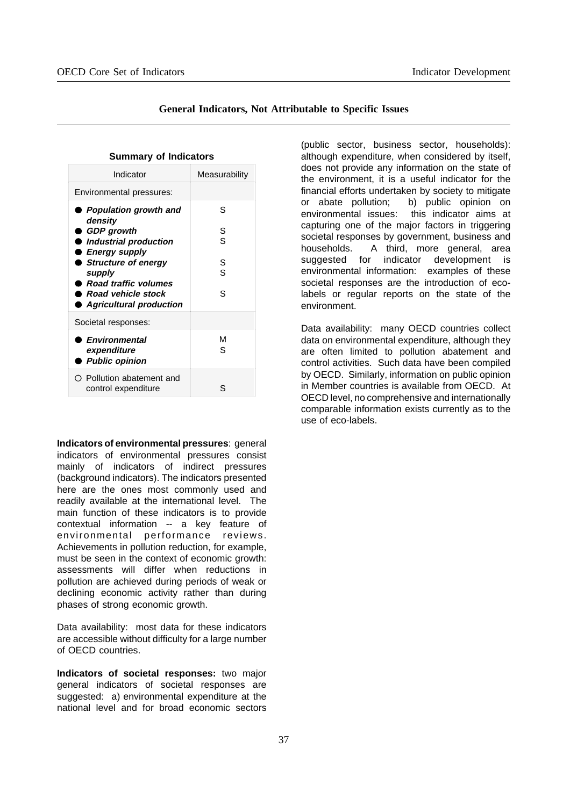| <b>Summary of Indicators</b>                                                   |               |  |  |  |  |  |
|--------------------------------------------------------------------------------|---------------|--|--|--|--|--|
| Indicator                                                                      | Measurability |  |  |  |  |  |
| Environmental pressures:                                                       |               |  |  |  |  |  |
| <b>Population growth and</b><br>density                                        | S             |  |  |  |  |  |
| $\bullet$ GDP growth                                                           | S             |  |  |  |  |  |
| Industrial production<br>● Energy supply                                       | S             |  |  |  |  |  |
| Structure of energy                                                            | S             |  |  |  |  |  |
| supply                                                                         | S             |  |  |  |  |  |
| ● Road traffic volumes<br>Road vehicle stock<br><b>Agricultural production</b> | S.            |  |  |  |  |  |
| Societal responses:                                                            |               |  |  |  |  |  |
| <b>Environmental</b><br>expenditure<br><b>Public opinion</b>                   | м<br>S        |  |  |  |  |  |
| ○ Pollution abatement and<br>control expenditure                               | S             |  |  |  |  |  |

## **General Indicators, Not Attributable to Specific Issues**

**Indicators of environmental pressures**: general indicators of environmental pressures consist mainly of indicators of indirect pressures (background indicators). The indicators presented here are the ones most commonly used and readily available at the international level. The main function of these indicators is to provide contextual information -- a key feature of environmental performance reviews. Achievements in pollution reduction, for example, must be seen in the context of economic growth: assessments will differ when reductions in pollution are achieved during periods of weak or declining economic activity rather than during phases of strong economic growth.

Data availability: most data for these indicators are accessible without difficulty for a large number of OECD countries.

**Indicators of societal responses:** two major general indicators of societal responses are suggested: a) environmental expenditure at the national level and for broad economic sectors

(public sector, business sector, households): although expenditure, when considered by itself, does not provide any information on the state of the environment, it is a useful indicator for the financial efforts undertaken by society to mitigate or abate pollution; b) public opinion on environmental issues: this indicator aims at capturing one of the major factors in triggering societal responses by government, business and households. A third, more general, area suggested for indicator development is environmental information: examples of these societal responses are the introduction of ecolabels or regular reports on the state of the environment.

Data availability: many OECD countries collect data on environmental expenditure, although they are often limited to pollution abatement and control activities. Such data have been compiled by OECD. Similarly, information on public opinion in Member countries is available from OECD. At OECD level, no comprehensive and internationally comparable information exists currently as to the use of eco-labels.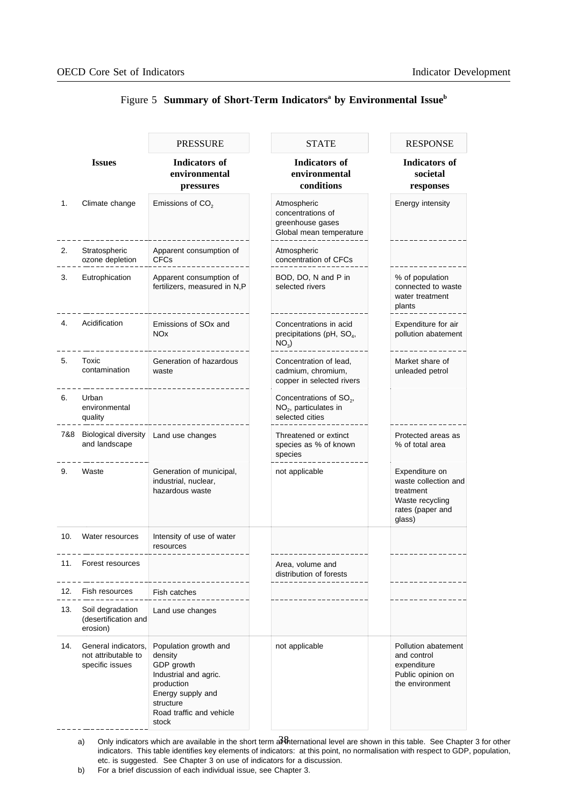|     |                                                               | <b>PRESSURE</b>                                                                                                                                              | <b>STATE</b>                                                                      | <b>RESPONSE</b>                                                                                      |
|-----|---------------------------------------------------------------|--------------------------------------------------------------------------------------------------------------------------------------------------------------|-----------------------------------------------------------------------------------|------------------------------------------------------------------------------------------------------|
|     | <b>Issues</b>                                                 | <b>Indicators</b> of<br>environmental<br>pressures                                                                                                           | <b>Indicators of</b><br>environmental<br>conditions                               | <b>Indicators of</b><br>societal<br>responses                                                        |
| 1.  | Climate change                                                | Emissions of $CO2$                                                                                                                                           | Atmospheric<br>concentrations of<br>greenhouse gases<br>Global mean temperature   | Energy intensity                                                                                     |
| 2.  | Stratospheric<br>ozone depletion                              | Apparent consumption of<br>CFCs                                                                                                                              | Atmospheric<br>concentration of CFCs                                              |                                                                                                      |
| 3.  | Eutrophication                                                | Apparent consumption of<br>fertilizers, measured in N,P                                                                                                      | BOD, DO, N and P in<br>selected rivers                                            | % of population<br>connected to waste<br>water treatment<br>plants                                   |
| 4.  | Acidification                                                 | Emissions of SO <sub>x</sub> and<br><b>NO<sub>x</sub></b>                                                                                                    | Concentrations in acid<br>precipitations (pH, SO <sub>4</sub> ,<br>$NO3$ )        | Expenditure for air<br>pollution abatement                                                           |
| 5.  | Toxic<br>contamination                                        | Generation of hazardous<br>waste                                                                                                                             | Concentration of lead,<br>cadmium, chromium,<br>copper in selected rivers         | Market share of<br>unleaded petrol                                                                   |
| 6.  | Urban<br>environmental<br>quality                             |                                                                                                                                                              | Concentrations of SO <sub>2</sub> ,<br>$NO2$ , particulates in<br>selected cities |                                                                                                      |
| 7&8 | <b>Biological diversity</b><br>and landscape                  | Land use changes                                                                                                                                             | Threatened or extinct<br>species as % of known<br>species                         | Protected areas as<br>% of total area                                                                |
| 9.  | Waste                                                         | Generation of municipal,<br>industrial, nuclear,<br>hazardous waste                                                                                          | not applicable                                                                    | Expenditure on<br>waste collection and<br>treatment<br>Waste recycling<br>rates (paper and<br>glass) |
| 10. | Water resources                                               | Intensity of use of water<br>resources                                                                                                                       |                                                                                   |                                                                                                      |
| 11. | Forest resources                                              |                                                                                                                                                              | Area, volume and<br>distribution of forests                                       |                                                                                                      |
| 12. | Fish resources                                                | Fish catches                                                                                                                                                 |                                                                                   |                                                                                                      |
| 13. | Soil degradation<br>(desertification and<br>erosion)          | Land use changes                                                                                                                                             |                                                                                   |                                                                                                      |
| 14. | General indicators,<br>not attributable to<br>specific issues | Population growth and<br>density<br>GDP growth<br>Industrial and agric.<br>production<br>Energy supply and<br>structure<br>Road traffic and vehicle<br>stock | not applicable                                                                    | Pollution abatement<br>and control<br>expenditure<br>Public opinion on<br>the environment            |

# Figure 5 **Summary of Short-Term Indicatorsa by Environmental Issueb**

a) Only indicators which are available in the short term  $\widehat{ab}$  oternational level are shown in this table. See Chapter 3 for other indicators. This table identifies key elements of indicators: at this point, no normalisation with respect to GDP, population, etc. is suggested. See Chapter 3 on use of indicators for a discussion.

b) For a brief discussion of each individual issue, see Chapter 3.